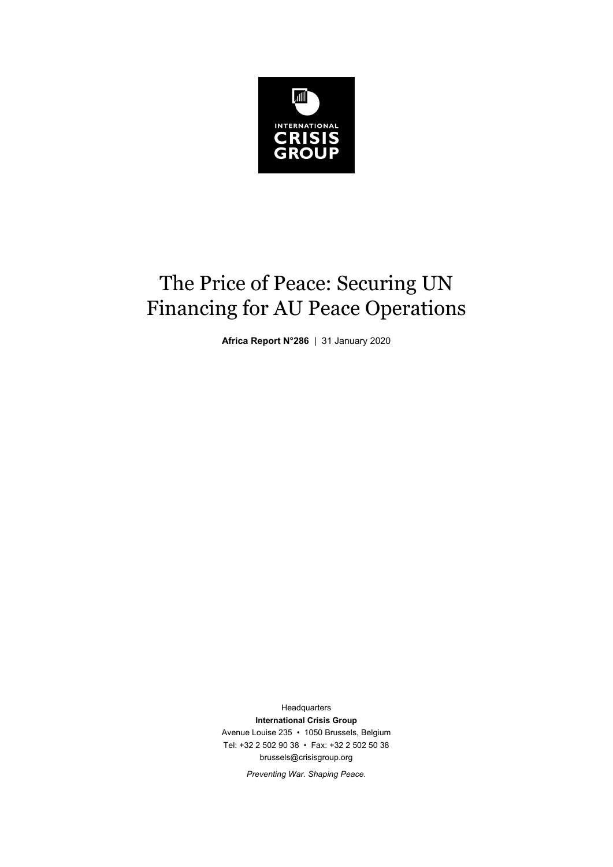

# The Price of Peace: Securing UN Financing for AU Peace Operations

**Africa Report N°286** | 31 January 2020

**Headquarters International Crisis Group**  Avenue Louise 235 • 1050 Brussels, Belgium Tel: +32 2 502 90 38 • Fax: +32 2 502 50 38 brussels@crisisgroup.org

*Preventing War. Shaping Peace.*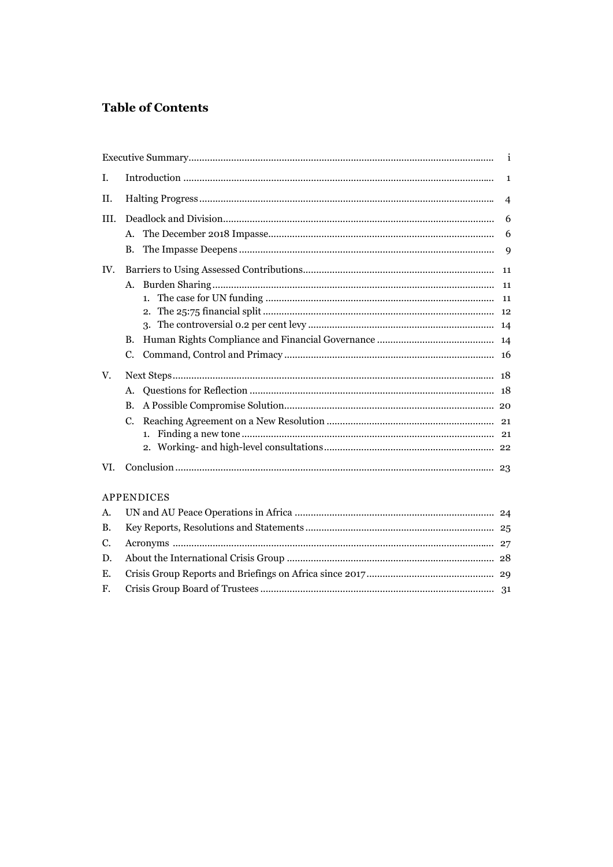# **Table of Contents**

| I.        |                |   |  |
|-----------|----------------|---|--|
| II.       | $\overline{4}$ |   |  |
| III.      |                |   |  |
|           | A.             | 6 |  |
|           | В.             | 9 |  |
| IV.       |                |   |  |
|           | А.             |   |  |
|           | 1.             |   |  |
|           | 2.             |   |  |
|           |                |   |  |
|           | В.             |   |  |
|           | C.             |   |  |
| V.        |                |   |  |
|           | А.             |   |  |
|           | B.             |   |  |
|           | C.             |   |  |
|           |                |   |  |
|           |                |   |  |
| VI.       |                |   |  |
|           | APPENDICES     |   |  |
| A.        |                |   |  |
| <b>B.</b> |                |   |  |
| C.        |                |   |  |
| D.        |                |   |  |
| E.        |                |   |  |
| F.        |                |   |  |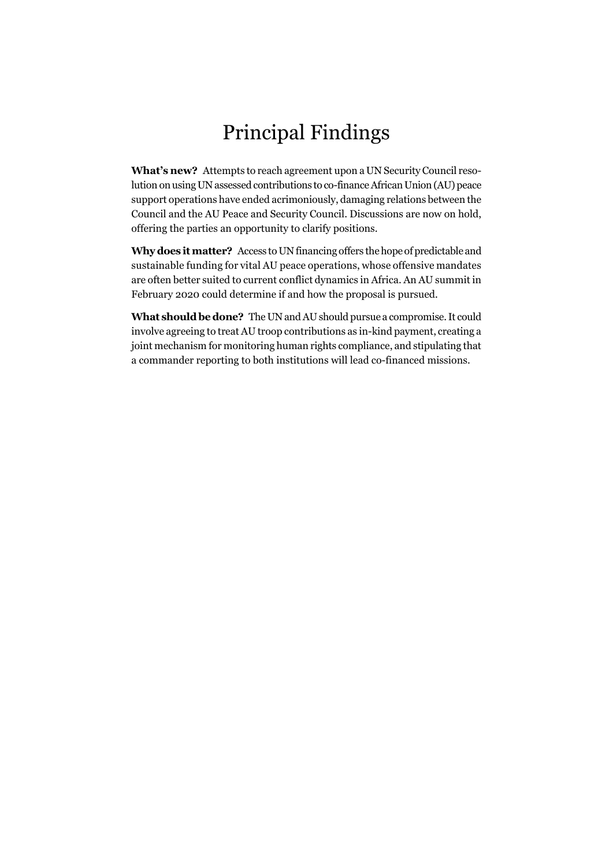# Principal Findings

**What's new?** Attempts to reach agreement upon a UN Security Council resolution on using UN assessed contributions to co-finance African Union (AU) peace support operations have ended acrimoniously, damaging relations between the Council and the AU Peace and Security Council. Discussions are now on hold, offering the parties an opportunity to clarify positions.

**Why does it matter?** Access to UN financing offers the hope of predictable and sustainable funding for vital AU peace operations, whose offensive mandates are often better suited to current conflict dynamics in Africa. An AU summit in February 2020 could determine if and how the proposal is pursued.

**What should be done?** The UN and AU should pursue a compromise. It could involve agreeing to treat AU troop contributions as in-kind payment, creating a joint mechanism for monitoring human rights compliance, and stipulating that a commander reporting to both institutions will lead co-financed missions.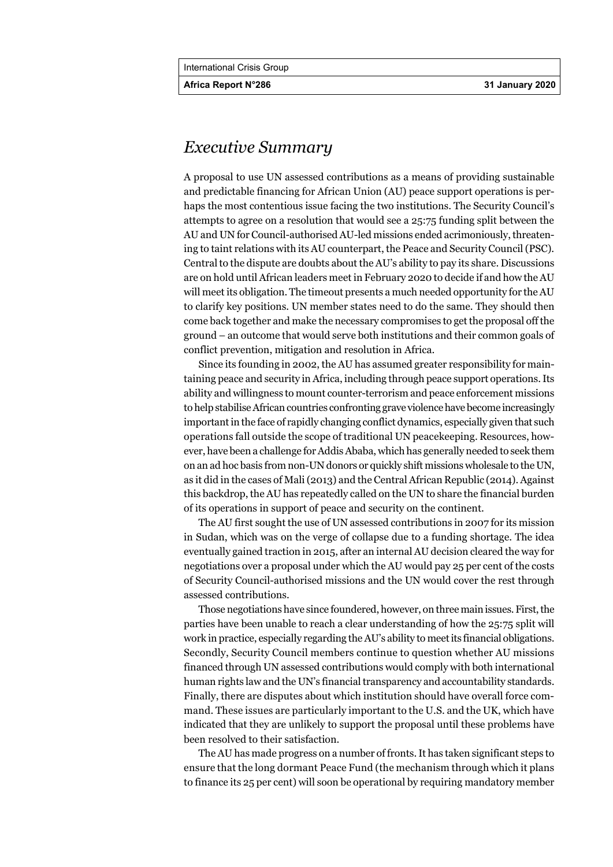**Africa Report N°286 31 January 2020** 

# *Executive Summary*

A proposal to use UN assessed contributions as a means of providing sustainable and predictable financing for African Union (AU) peace support operations is perhaps the most contentious issue facing the two institutions. The Security Council's attempts to agree on a resolution that would see a 25:75 funding split between the AU and UN for Council-authorised AU-led missions ended acrimoniously, threatening to taint relations with its AU counterpart, the Peace and Security Council (PSC). Central to the dispute are doubts about the AU's ability to pay its share. Discussions are on hold until African leaders meet in February 2020 to decide if and how the AU will meet its obligation. The timeout presents a much needed opportunity for the AU to clarify key positions. UN member states need to do the same. They should then come back together and make the necessary compromises to get the proposal off the ground – an outcome that would serve both institutions and their common goals of conflict prevention, mitigation and resolution in Africa.

Since its founding in 2002, the AU has assumed greater responsibility for maintaining peace and security in Africa, including through peace support operations. Its ability and willingness to mount counter-terrorism and peace enforcement missions to help stabilise African countries confronting grave violence have become increasingly important in the face of rapidly changing conflict dynamics, especially given that such operations fall outside the scope of traditional UN peacekeeping. Resources, however, have been a challenge for Addis Ababa, which has generally needed to seek them on an ad hoc basis from non-UN donors or quickly shift missions wholesale to the UN, as it did in the cases of Mali (2013) and the Central African Republic (2014). Against this backdrop, the AU has repeatedly called on the UN to share the financial burden of its operations in support of peace and security on the continent.

The AU first sought the use of UN assessed contributions in 2007 for its mission in Sudan, which was on the verge of collapse due to a funding shortage. The idea eventually gained traction in 2015, after an internal AU decision cleared the way for negotiations over a proposal under which the AU would pay 25 per cent of the costs of Security Council-authorised missions and the UN would cover the rest through assessed contributions.

Those negotiations have since foundered, however, on three main issues. First, the parties have been unable to reach a clear understanding of how the 25:75 split will work in practice, especially regarding the AU's ability to meet its financial obligations. Secondly, Security Council members continue to question whether AU missions financed through UN assessed contributions would comply with both international human rights law and the UN's financial transparency and accountability standards. Finally, there are disputes about which institution should have overall force command. These issues are particularly important to the U.S. and the UK, which have indicated that they are unlikely to support the proposal until these problems have been resolved to their satisfaction.

The AU has made progress on a number of fronts. It has taken significant steps to ensure that the long dormant Peace Fund (the mechanism through which it plans to finance its 25 per cent) will soon be operational by requiring mandatory member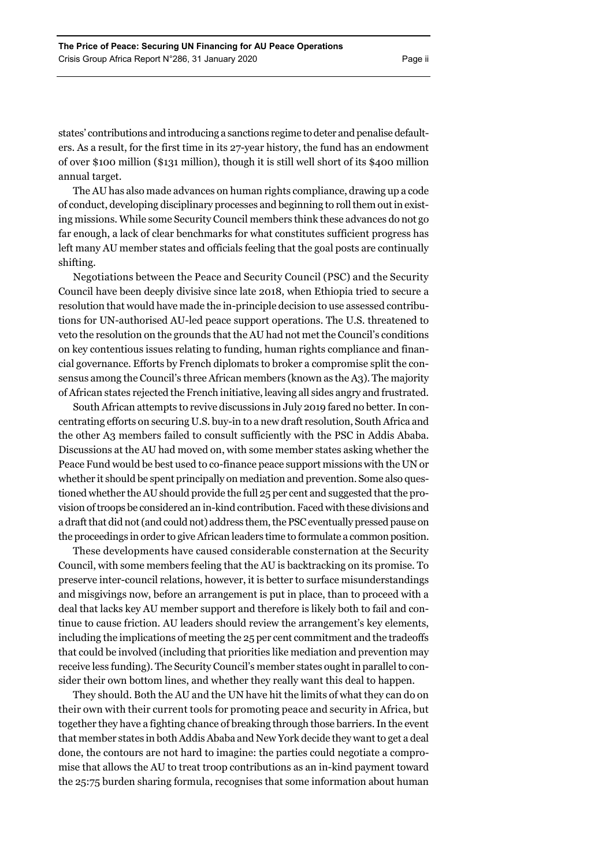states' contributions and introducing a sanctions regime to deter and penalise defaulters. As a result, for the first time in its 27-year history, the fund has an endowment of over \$100 million (\$131 million), though it is still well short of its \$400 million annual target.

The AU has also made advances on human rights compliance, drawing up a code of conduct, developing disciplinary processes and beginning to roll them out in existing missions. While some Security Council members think these advances do not go far enough, a lack of clear benchmarks for what constitutes sufficient progress has left many AU member states and officials feeling that the goal posts are continually shifting.

Negotiations between the Peace and Security Council (PSC) and the Security Council have been deeply divisive since late 2018, when Ethiopia tried to secure a resolution that would have made the in-principle decision to use assessed contributions for UN-authorised AU-led peace support operations. The U.S. threatened to veto the resolution on the grounds that the AU had not met the Council's conditions on key contentious issues relating to funding, human rights compliance and financial governance. Efforts by French diplomats to broker a compromise split the consensus among the Council's three African members (known as the A3). The majority of African states rejected the French initiative, leaving all sides angry and frustrated.

South African attempts to revive discussions in July 2019 fared no better. In concentrating efforts on securing U.S. buy-in to a new draft resolution, South Africa and the other A3 members failed to consult sufficiently with the PSC in Addis Ababa. Discussions at the AU had moved on, with some member states asking whether the Peace Fund would be best used to co-finance peace support missions with the UN or whether it should be spent principally on mediation and prevention. Some also questioned whether the AU should provide the full 25 per cent and suggested that the provision of troops be considered an in-kind contribution. Faced with these divisions and a draft that did not (and could not) address them, the PSC eventually pressed pause on the proceedings in order to give African leaders time to formulate a common position.

These developments have caused considerable consternation at the Security Council, with some members feeling that the AU is backtracking on its promise. To preserve inter-council relations, however, it is better to surface misunderstandings and misgivings now, before an arrangement is put in place, than to proceed with a deal that lacks key AU member support and therefore is likely both to fail and continue to cause friction. AU leaders should review the arrangement's key elements, including the implications of meeting the 25 per cent commitment and the tradeoffs that could be involved (including that priorities like mediation and prevention may receive less funding). The Security Council's member states ought in parallel to consider their own bottom lines, and whether they really want this deal to happen.

They should. Both the AU and the UN have hit the limits of what they can do on their own with their current tools for promoting peace and security in Africa, but together they have a fighting chance of breaking through those barriers. In the event that member states in both Addis Ababa and New York decide they want to get a deal done, the contours are not hard to imagine: the parties could negotiate a compromise that allows the AU to treat troop contributions as an in-kind payment toward the 25:75 burden sharing formula, recognises that some information about human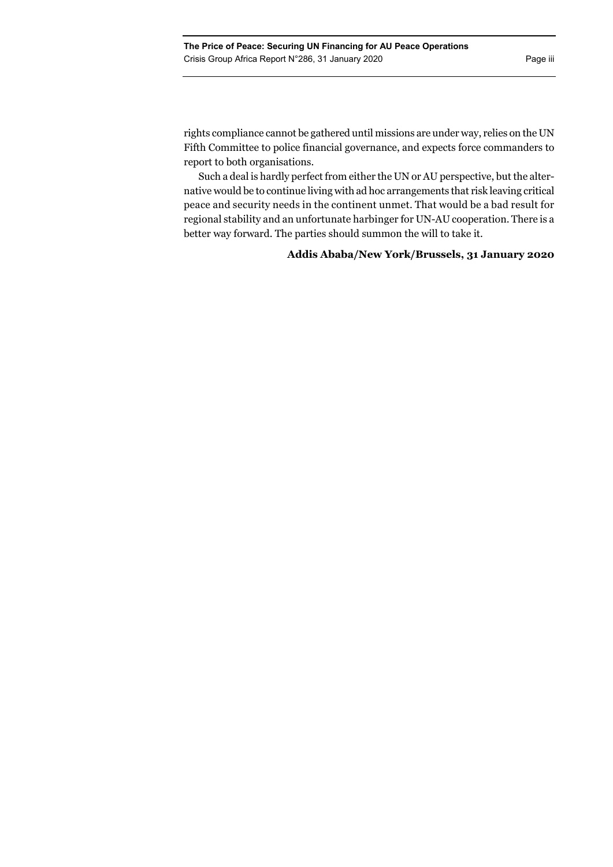rights compliance cannot be gathered until missions are under way, relies on the UN Fifth Committee to police financial governance, and expects force commanders to report to both organisations.

Such a deal is hardly perfect from either the UN or AU perspective, but the alternative would be to continue living with ad hoc arrangements that risk leaving critical peace and security needs in the continent unmet. That would be a bad result for regional stability and an unfortunate harbinger for UN-AU cooperation. There is a better way forward. The parties should summon the will to take it.

# **Addis Ababa/New York/Brussels, 31 January 2020**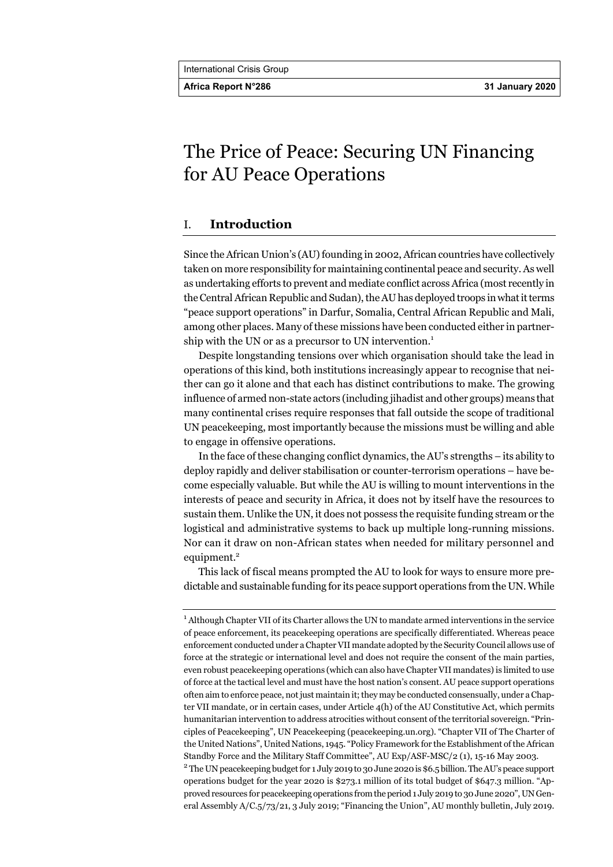**Africa Report N°286 31 January 2020** 

# The Price of Peace: Securing UN Financing for AU Peace Operations

# I. **Introduction**

Since the African Union's (AU) founding in 2002, African countries have collectively taken on more responsibility for maintaining continental peace and security. As well as undertaking efforts to prevent and mediate conflict across Africa (most recently in the Central African Republic and Sudan), the AU has deployed troops in what it terms "peace support operations" in Darfur, Somalia, Central African Republic and Mali, among other places. Many of these missions have been conducted either in partnership with the UN or as a precursor to UN intervention.<sup>1</sup>

Despite longstanding tensions over which organisation should take the lead in operations of this kind, both institutions increasingly appear to recognise that neither can go it alone and that each has distinct contributions to make. The growing influence of armed non-state actors (including jihadist and other groups) means that many continental crises require responses that fall outside the scope of traditional UN peacekeeping, most importantly because the missions must be willing and able to engage in offensive operations.

In the face of these changing conflict dynamics, the AU's strengths – its ability to deploy rapidly and deliver stabilisation or counter-terrorism operations – have become especially valuable. But while the AU is willing to mount interventions in the interests of peace and security in Africa, it does not by itself have the resources to sustain them. Unlike the UN, it does not possess the requisite funding stream or the logistical and administrative systems to back up multiple long-running missions. Nor can it draw on non-African states when needed for military personnel and equipment.<sup>2</sup>

This lack of fiscal means prompted the AU to look for ways to ensure more predictable and sustainable funding for its peace support operations from the UN. While

<sup>&</sup>lt;sup>1</sup> Although Chapter VII of its Charter allows the UN to mandate armed interventions in the service of peace enforcement, its peacekeeping operations are specifically differentiated. Whereas peace enforcement conducted under a Chapter VII mandate adopted by the Security Council allows use of force at the strategic or international level and does not require the consent of the main parties, even robust peacekeeping operations (which can also have Chapter VII mandates) is limited to use of force at the tactical level and must have the host nation's consent. AU peace support operations often aim to enforce peace, not just maintain it; they may be conducted consensually, under a Chapter VII mandate, or in certain cases, under Article 4(h) of the AU Constitutive Act, which permits humanitarian intervention to address atrocities without consent of the territorial sovereign. "Principles of Peacekeeping", UN Peacekeeping (peacekeeping.un.org). "Chapter VII of The Charter of the United Nations", United Nations, 1945. "Policy Framework for the Establishment of the African Standby Force and the Military Staff Committee", AU Exp/ASF-MSC/2 (1), 15-16 May 2003. 2

The UN peacekeeping budget for 1 July 2019 to 30 June 2020 is \$6.5 billion. The AU's peace support operations budget for the year 2020 is \$273.1 million of its total budget of \$647.3 million. "Approved resources for peacekeeping operations from the period 1 July 2019 to 30 June 2020", UN General Assembly A/C.5/73/21, 3 July 2019; "Financing the Union", AU monthly bulletin, July 2019.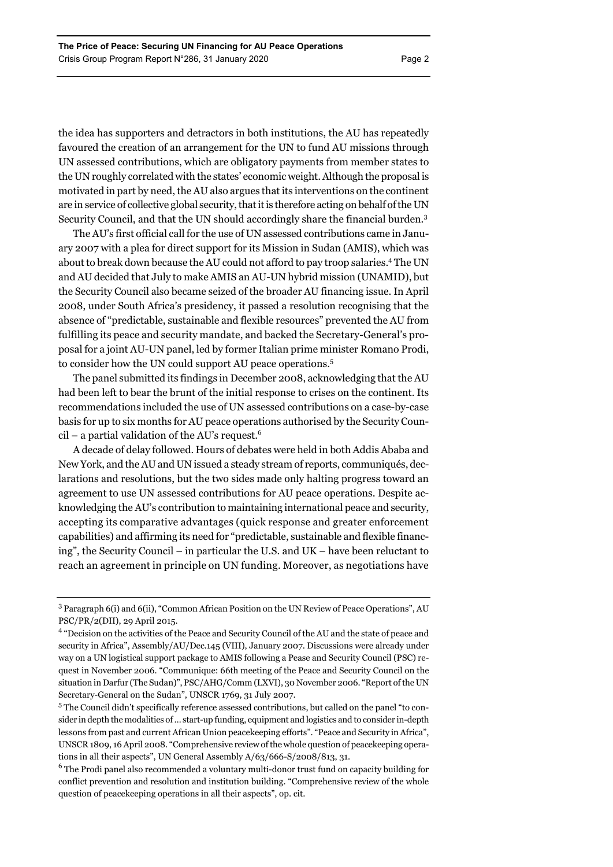the idea has supporters and detractors in both institutions, the AU has repeatedly favoured the creation of an arrangement for the UN to fund AU missions through UN assessed contributions, which are obligatory payments from member states to the UN roughly correlated with the states' economic weight. Although the proposal is motivated in part by need, the AU also argues that its interventions on the continent are in service of collective global security, that it is therefore acting on behalf of the UN Security Council, and that the UN should accordingly share the financial burden.<sup>3</sup>

The AU's first official call for the use of UN assessed contributions came in January 2007 with a plea for direct support for its Mission in Sudan (AMIS), which was about to break down because the AU could not afford to pay troop salaries.<sup>4</sup> The UN and AU decided that July to make AMIS an AU-UN hybrid mission (UNAMID), but the Security Council also became seized of the broader AU financing issue. In April 2008, under South Africa's presidency, it passed a resolution recognising that the absence of "predictable, sustainable and flexible resources" prevented the AU from fulfilling its peace and security mandate, and backed the Secretary-General's proposal for a joint AU-UN panel, led by former Italian prime minister Romano Prodi, to consider how the UN could support AU peace operations.<sup>5</sup>

The panel submitted its findings in December 2008, acknowledging that the AU had been left to bear the brunt of the initial response to crises on the continent. Its recommendations included the use of UN assessed contributions on a case-by-case basis for up to six months for AU peace operations authorised by the Security Council – a partial validation of the AU's request.<sup>6</sup>

A decade of delay followed. Hours of debates were held in both Addis Ababa and New York, and the AU and UN issued a steady stream of reports, communiqués, declarations and resolutions, but the two sides made only halting progress toward an agreement to use UN assessed contributions for AU peace operations. Despite acknowledging the AU's contribution to maintaining international peace and security, accepting its comparative advantages (quick response and greater enforcement capabilities) and affirming its need for "predictable, sustainable and flexible financing", the Security Council – in particular the U.S. and UK – have been reluctant to reach an agreement in principle on UN funding. Moreover, as negotiations have

<sup>&</sup>lt;sup>3</sup> Paragraph 6(i) and 6(ii), "Common African Position on the UN Review of Peace Operations", AU PSC/PR/2(DII), 29 April 2015.

<sup>&</sup>lt;sup>4</sup> "Decision on the activities of the Peace and Security Council of the AU and the state of peace and security in Africa", Assembly/AU/Dec.145 (VIII), January 2007. Discussions were already under way on a UN logistical support package to AMIS following a Pease and Security Council (PSC) request in November 2006. "Communique: 66th meeting of the Peace and Security Council on the situation in Darfur (The Sudan)", PSC/AHG/Comm (LXVI), 30 November 2006. "Report of the UN Secretary-General on the Sudan", UNSCR 1769, 31 July 2007.

<sup>&</sup>lt;sup>5</sup> The Council didn't specifically reference assessed contributions, but called on the panel "to consider in depth the modalities of … start-up funding, equipment and logistics and to consider in-depth lessons from past and current African Union peacekeeping efforts". "Peace and Security in Africa", UNSCR 1809, 16 April 2008. "Comprehensive review of the whole question of peacekeeping operations in all their aspects", UN General Assembly A/63/666-S/2008/813, 31.

 $^6$  The Prodi panel also recommended a voluntary multi-donor trust fund on capacity building for conflict prevention and resolution and institution building. "Comprehensive review of the whole question of peacekeeping operations in all their aspects", op. cit.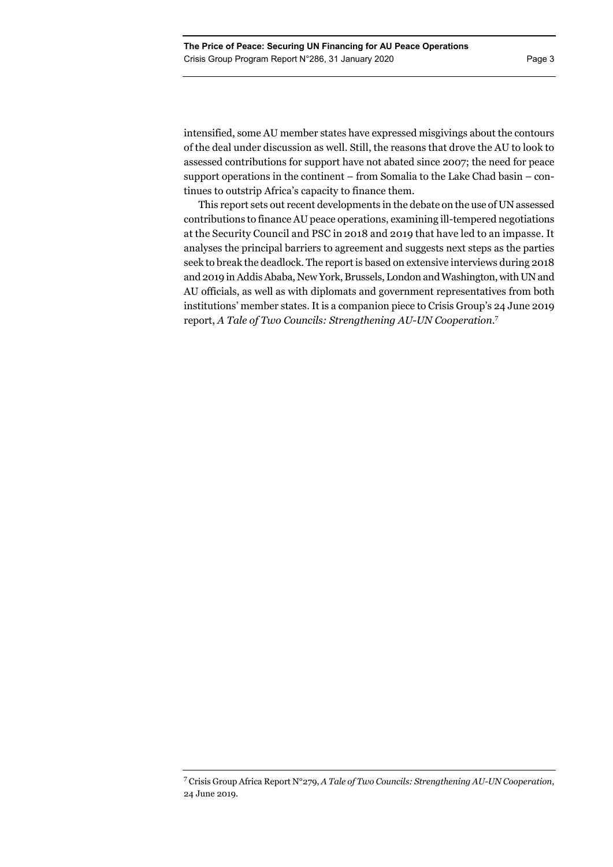intensified, some AU member states have expressed misgivings about the contours of the deal under discussion as well. Still, the reasons that drove the AU to look to assessed contributions for support have not abated since 2007; the need for peace support operations in the continent – from Somalia to the Lake Chad basin – continues to outstrip Africa's capacity to finance them.

This report sets out recent developments in the debate on the use of UN assessed contributions to finance AU peace operations, examining ill-tempered negotiations at the Security Council and PSC in 2018 and 2019 that have led to an impasse. It analyses the principal barriers to agreement and suggests next steps as the parties seek to break the deadlock. The report is based on extensive interviews during 2018 and 2019 in Addis Ababa, New York, Brussels, London and Washington, with UN and AU officials, as well as with diplomats and government representatives from both institutions' member states. It is a companion piece to Crisis Group's 24 June 2019 report, *A Tale of Two Councils: Strengthening AU-UN Cooperation*. 7

<sup>7</sup> Crisis Group Africa Report N°279, *A Tale of Two Councils: Strengthening AU-UN Cooperation*, 24 June 2019.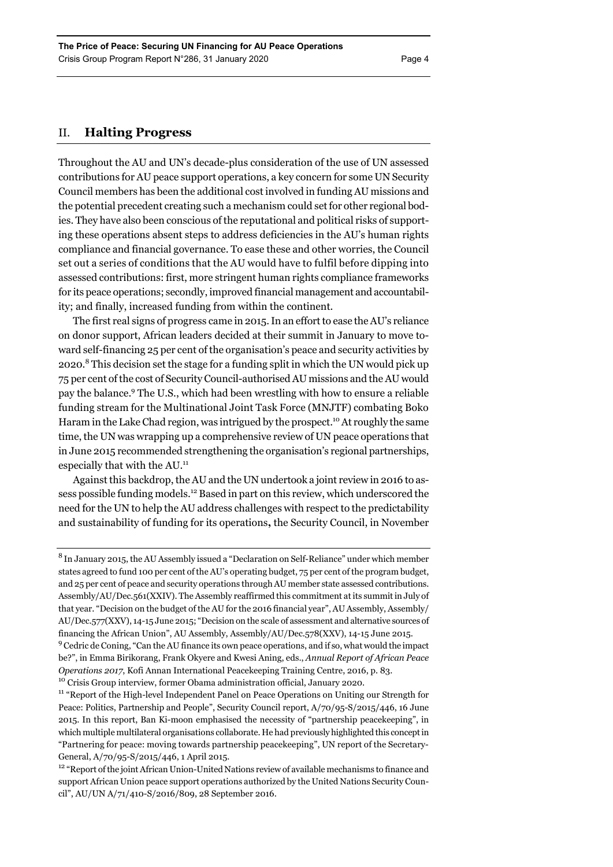# II. **Halting Progress**

Throughout the AU and UN's decade-plus consideration of the use of UN assessed contributions for AU peace support operations, a key concern for some UN Security Council members has been the additional cost involved in funding AU missions and the potential precedent creating such a mechanism could set for other regional bodies. They have also been conscious of the reputational and political risks of supporting these operations absent steps to address deficiencies in the AU's human rights compliance and financial governance. To ease these and other worries, the Council set out a series of conditions that the AU would have to fulfil before dipping into assessed contributions: first, more stringent human rights compliance frameworks for its peace operations; secondly, improved financial management and accountability; and finally, increased funding from within the continent.

The first real signs of progress came in 2015. In an effort to ease the AU's reliance on donor support, African leaders decided at their summit in January to move toward self-financing 25 per cent of the organisation's peace and security activities by 2020.<sup>8</sup> This decision set the stage for a funding split in which the UN would pick up 75 per cent of the cost of Security Council-authorised AU missions and the AU would pay the balance.<sup>9</sup> The U.S., which had been wrestling with how to ensure a reliable funding stream for the Multinational Joint Task Force (MNJTF) combating Boko Haram in the Lake Chad region, was intrigued by the prospect.<sup>10</sup> At roughly the same time, the UN was wrapping up a comprehensive review of UN peace operations that in June 2015 recommended strengthening the organisation's regional partnerships, especially that with the AU.<sup>11</sup>

Against this backdrop, the AU and the UN undertook a joint review in 2016 to assess possible funding models.12 Based in part on this review, which underscored the need for the UN to help the AU address challenges with respect to the predictability and sustainability of funding for its operations**,** the Security Council, in November

 $8$  In January 2015, the AU Assembly issued a "Declaration on Self-Reliance" under which member states agreed to fund 100 per cent of the AU's operating budget, 75 per cent of the program budget, and 25 per cent of peace and security operations through AU member state assessed contributions. Assembly/AU/Dec.561(XXIV). The Assembly reaffirmed this commitment at its summit in July of that year. "Decision on the budget of the AU for the 2016 financial year", AU Assembly, Assembly/ AU/Dec.577(XXV), 14-15 June 2015; "Decision on the scale of assessment and alternative sources of financing the African Union", AU Assembly, Assembly/AU/Dec.578(XXV), 14-15 June 2015.

<sup>&</sup>lt;sup>9</sup> Cedric de Coning, "Can the AU finance its own peace operations, and if so, what would the impact be?", in Emma Birikorang, Frank Okyere and Kwesi Aning, eds., *Annual Report of African Peace*  Operations 2017, Kofi Annan International Peacekeeping Training Centre, 2016, p. 83.<br><sup>10</sup> Crisis Group interview, former Obama administration official, January 2020.<br><sup>11</sup> "Report of the High-level Independent Panel on Pea

Peace: Politics, Partnership and People", Security Council report, A/70/95-S/2015/446, 16 June 2015. In this report, Ban Ki-moon emphasised the necessity of "partnership peacekeeping", in which multiple multilateral organisations collaborate. He had previously highlighted this concept in "Partnering for peace: moving towards partnership peacekeeping", UN report of the Secretary-General, A/70/95-S/2015/446, 1 April 2015.

<sup>&</sup>lt;sup>12</sup> "Report of the joint African Union-United Nations review of available mechanisms to finance and support African Union peace support operations authorized by the United Nations Security Council", AU/UN A/71/410-S/2016/809, 28 September 2016.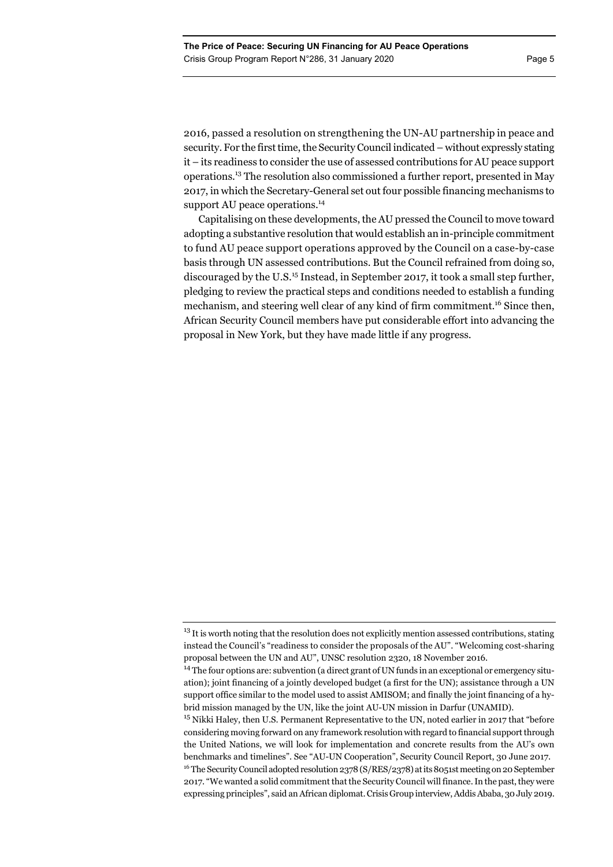2016, passed a resolution on strengthening the UN-AU partnership in peace and security. For the first time, the Security Council indicated – without expressly stating it – its readiness to consider the use of assessed contributions for AU peace support operations.13 The resolution also commissioned a further report, presented in May 2017, in which the Secretary-General set out four possible financing mechanisms to support AU peace operations.<sup>14</sup>

Capitalising on these developments, the AU pressed the Council to move toward adopting a substantive resolution that would establish an in-principle commitment to fund AU peace support operations approved by the Council on a case-by-case basis through UN assessed contributions. But the Council refrained from doing so, discouraged by the U.S.<sup>15</sup> Instead, in September 2017, it took a small step further, pledging to review the practical steps and conditions needed to establish a funding mechanism, and steering well clear of any kind of firm commitment.<sup>16</sup> Since then, African Security Council members have put considerable effort into advancing the proposal in New York, but they have made little if any progress.

 $13$  It is worth noting that the resolution does not explicitly mention assessed contributions, stating instead the Council's "readiness to consider the proposals of the AU". "Welcoming cost-sharing proposal between the UN and AU", UNSC resolution 2320, 18 November 2016.

<sup>&</sup>lt;sup>14</sup> The four options are: subvention (a direct grant of UN funds in an exceptional or emergency situation); joint financing of a jointly developed budget (a first for the UN); assistance through a UN support office similar to the model used to assist AMISOM; and finally the joint financing of a hybrid mission managed by the UN, like the joint AU-UN mission in Darfur (UNAMID).

<sup>&</sup>lt;sup>15</sup> Nikki Haley, then U.S. Permanent Representative to the UN, noted earlier in 2017 that "before" considering moving forward on any framework resolution with regard to financial support through the United Nations, we will look for implementation and concrete results from the AU's own benchmarks and timelines". See "AU-UN Cooperation", Security Council Report, 30 June 2017. <sup>16</sup> The Security Council adopted resolution 2378 (S/RES/2378) at its 8051st meeting on 20 September 2017. "We wanted a solid commitment that the Security Council will finance. In the past, they were expressing principles", said an African diplomat. Crisis Group interview, Addis Ababa, 30 July 2019.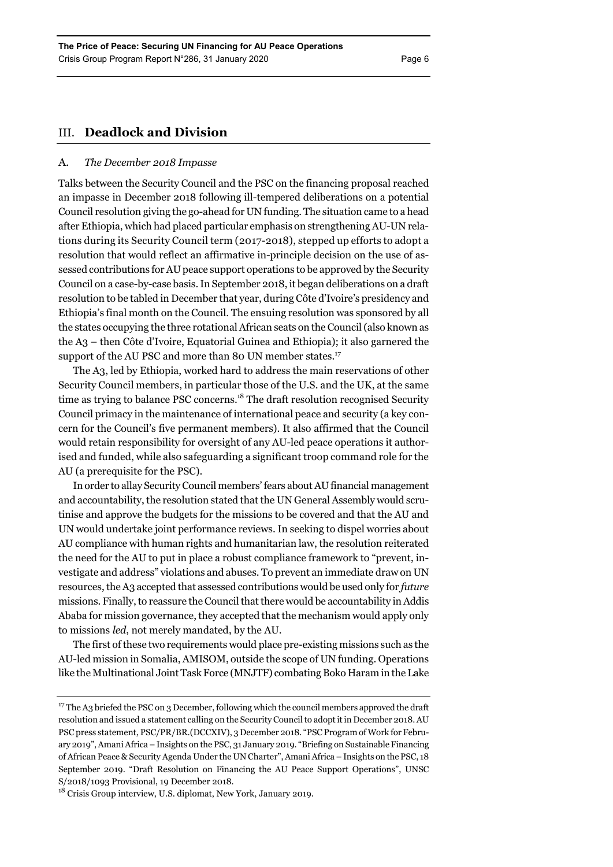# III. **Deadlock and Division**

# A. *The December 2018 Impasse*

Talks between the Security Council and the PSC on the financing proposal reached an impasse in December 2018 following ill-tempered deliberations on a potential Council resolution giving the go-ahead for UN funding. The situation came to a head after Ethiopia, which had placed particular emphasis on strengthening AU-UN relations during its Security Council term (2017-2018), stepped up efforts to adopt a resolution that would reflect an affirmative in-principle decision on the use of assessed contributions for AU peace support operations to be approved by the Security Council on a case-by-case basis. In September 2018, it began deliberations on a draft resolution to be tabled in December that year, during Côte d'Ivoire's presidency and Ethiopia's final month on the Council. The ensuing resolution was sponsored by all the states occupying the three rotational African seats on the Council (also known as the A3 – then Côte d'Ivoire, Equatorial Guinea and Ethiopia); it also garnered the support of the AU PSC and more than 80 UN member states.<sup>17</sup>

The A3, led by Ethiopia, worked hard to address the main reservations of other Security Council members, in particular those of the U.S. and the UK, at the same time as trying to balance PSC concerns.<sup>18</sup> The draft resolution recognised Security Council primacy in the maintenance of international peace and security (a key concern for the Council's five permanent members). It also affirmed that the Council would retain responsibility for oversight of any AU-led peace operations it authorised and funded, while also safeguarding a significant troop command role for the AU (a prerequisite for the PSC).

In order to allay Security Council members' fears about AU financial management and accountability, the resolution stated that the UN General Assembly would scrutinise and approve the budgets for the missions to be covered and that the AU and UN would undertake joint performance reviews. In seeking to dispel worries about AU compliance with human rights and humanitarian law, the resolution reiterated the need for the AU to put in place a robust compliance framework to "prevent, investigate and address" violations and abuses. To prevent an immediate draw on UN resources, the A3 accepted that assessed contributions would be used only for *future* missions. Finally, to reassure the Council that there would be accountability in Addis Ababa for mission governance, they accepted that the mechanism would apply only to missions *led*, not merely mandated, by the AU.

The first of these two requirements would place pre-existing missions such as the AU-led mission in Somalia, AMISOM, outside the scope of UN funding. Operations like the Multinational Joint Task Force (MNJTF) combating Boko Haram in the Lake

 $17$  The A3 briefed the PSC on 3 December, following which the council members approved the draft resolution and issued a statement calling on the Security Council to adopt it in December 2018. AU PSC press statement, PSC/PR/BR.(DCCXIV), 3 December 2018. "PSC Program of Work for February 2019", Amani Africa – Insights on the PSC, 31 January 2019. "Briefing on Sustainable Financing of African Peace & Security Agenda Under the UN Charter", Amani Africa – Insights on the PSC, 18 September 2019. "Draft Resolution on Financing the AU Peace Support Operations", UNSC S/2018/1093 Provisional, 19 December 2018.

<sup>18</sup> Crisis Group interview, U.S. diplomat, New York, January 2019.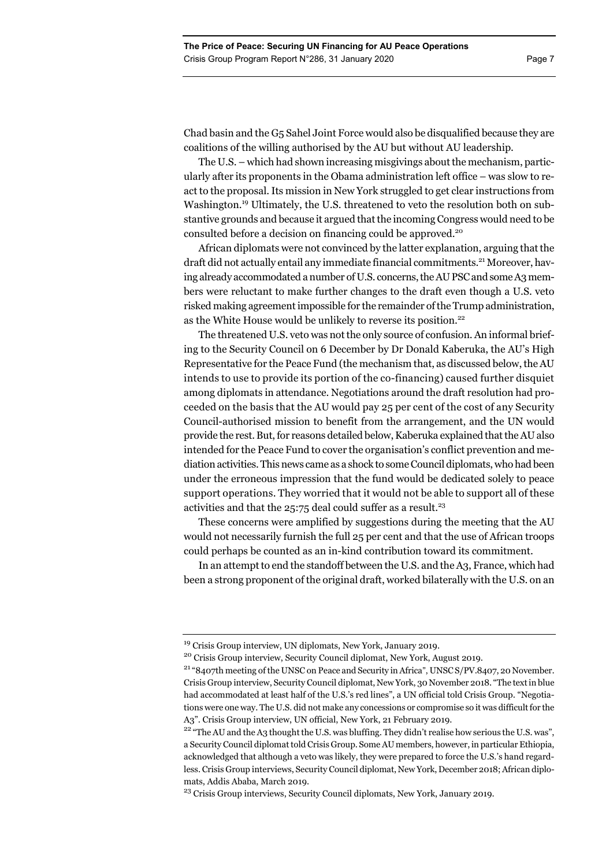Chad basin and the G5 Sahel Joint Force would also be disqualified because they are coalitions of the willing authorised by the AU but without AU leadership.

The U.S. – which had shown increasing misgivings about the mechanism, particularly after its proponents in the Obama administration left office – was slow to react to the proposal. Its mission in New York struggled to get clear instructions from Washington.<sup>19</sup> Ultimately, the U.S. threatened to veto the resolution both on substantive grounds and because it argued that the incoming Congress would need to be consulted before a decision on financing could be approved.<sup>20</sup>

African diplomats were not convinced by the latter explanation, arguing that the draft did not actually entail any immediate financial commitments.<sup>21</sup> Moreover, having already accommodated a number of U.S. concerns, the AU PSC and some A3 members were reluctant to make further changes to the draft even though a U.S. veto risked making agreement impossible for the remainder of the Trump administration, as the White House would be unlikely to reverse its position.<sup>22</sup>

The threatened U.S. veto was not the only source of confusion. An informal briefing to the Security Council on 6 December by Dr Donald Kaberuka, the AU's High Representative for the Peace Fund (the mechanism that, as discussed below, the AU intends to use to provide its portion of the co-financing) caused further disquiet among diplomats in attendance. Negotiations around the draft resolution had proceeded on the basis that the AU would pay 25 per cent of the cost of any Security Council-authorised mission to benefit from the arrangement, and the UN would provide the rest. But, for reasons detailed below, Kaberuka explained that the AU also intended for the Peace Fund to cover the organisation's conflict prevention and mediation activities. This news came as a shock to some Council diplomats, who had been under the erroneous impression that the fund would be dedicated solely to peace support operations. They worried that it would not be able to support all of these activities and that the  $25:75$  deal could suffer as a result.<sup>23</sup>

These concerns were amplified by suggestions during the meeting that the AU would not necessarily furnish the full 25 per cent and that the use of African troops could perhaps be counted as an in-kind contribution toward its commitment.

In an attempt to end the standoff between the U.S. and the A3, France, which had been a strong proponent of the original draft, worked bilaterally with the U.S. on an

<sup>&</sup>lt;sup>19</sup> Crisis Group interview, UN diplomats, New York, January 2019.

<sup>&</sup>lt;sup>20</sup> Crisis Group interview, Security Council diplomat, New York, August 2019.<br><sup>21</sup> "8407th meeting of the UNSC on Peace and Security in Africa", UNSC S/PV.8407, 20 November. Crisis Group interview, Security Council diplomat, New York, 30 November 2018. "The text in blue had accommodated at least half of the U.S.'s red lines", a UN official told Crisis Group. "Negotiations were one way. The U.S. did not make any concessions or compromise so it was difficult for the A3". Crisis Group interview, UN official, New York, 21 February 2019.<br><sup>22</sup> "The AU and the A3 thought the U.S. was bluffing. They didn't realise how serious the U.S. was",

a Security Council diplomat told Crisis Group. Some AU members, however, in particular Ethiopia, acknowledged that although a veto was likely, they were prepared to force the U.S.'s hand regardless. Crisis Group interviews, Security Council diplomat, New York, December 2018; African diplomats, Addis Ababa, March 2019.

<sup>&</sup>lt;sup>23</sup> Crisis Group interviews, Security Council diplomats, New York, January 2019.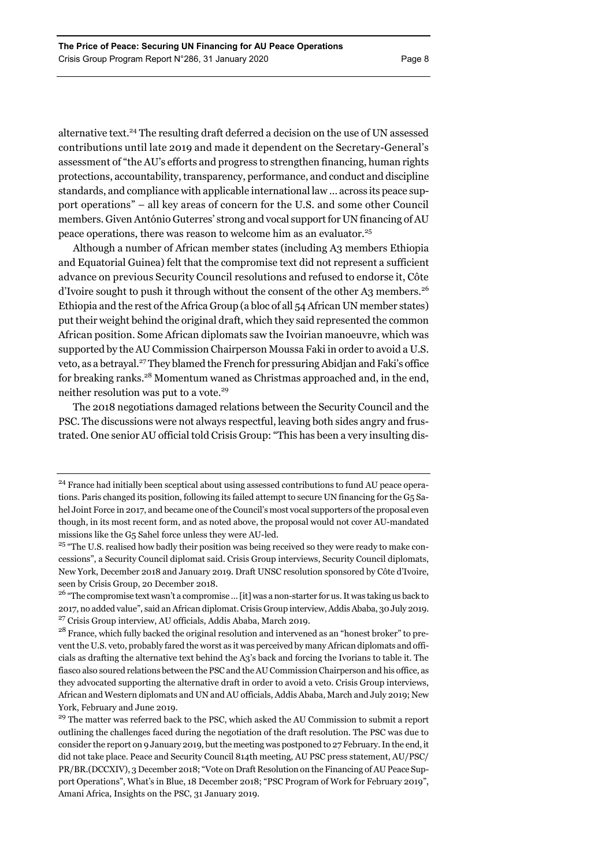alternative text.<sup>24</sup> The resulting draft deferred a decision on the use of UN assessed contributions until late 2019 and made it dependent on the Secretary-General's assessment of "the AU's efforts and progress to strengthen financing, human rights protections, accountability, transparency, performance, and conduct and discipline standards, and compliance with applicable international law … across its peace support operations" – all key areas of concern for the U.S. and some other Council members. Given António Guterres' strong and vocal support for UN financing of AU peace operations, there was reason to welcome him as an evaluator.25

Although a number of African member states (including A3 members Ethiopia and Equatorial Guinea) felt that the compromise text did not represent a sufficient advance on previous Security Council resolutions and refused to endorse it, Côte d'Ivoire sought to push it through without the consent of the other A3 members.<sup>26</sup> Ethiopia and the rest of the Africa Group (a bloc of all 54 African UN member states) put their weight behind the original draft, which they said represented the common African position. Some African diplomats saw the Ivoirian manoeuvre, which was supported by the AU Commission Chairperson Moussa Faki in order to avoid a U.S. veto, as a betrayal.<sup>27</sup> They blamed the French for pressuring Abidjan and Faki's office for breaking ranks.28 Momentum waned as Christmas approached and, in the end, neither resolution was put to a vote.<sup>29</sup>

The 2018 negotiations damaged relations between the Security Council and the PSC. The discussions were not always respectful, leaving both sides angry and frustrated. One senior AU official told Crisis Group: "This has been a very insulting dis-

<sup>&</sup>lt;sup>24</sup> France had initially been sceptical about using assessed contributions to fund AU peace operations. Paris changed its position, following its failed attempt to secure UN financing for the G5 Sahel Joint Force in 2017, and became one of the Council's most vocal supporters of the proposal even though, in its most recent form, and as noted above, the proposal would not cover AU-mandated missions like the G5 Sahel force unless they were AU-led.

<sup>&</sup>lt;sup>25</sup> "The U.S. realised how badly their position was being received so they were ready to make concessions", a Security Council diplomat said. Crisis Group interviews, Security Council diplomats, New York, December 2018 and January 2019. Draft UNSC resolution sponsored by Côte d'Ivoire, seen by Crisis Group, 20 December 2018.

<sup>&</sup>lt;sup>26</sup> "The compromise text wasn't a compromise ... [it] was a non-starter for us. It was taking us back to 2017, no added value", said an African diplomat. Crisis Group interview, Addis Ababa, 30 July 2019. 27 Crisis Group interview, AU officials, Addis Ababa, March 2019.

<sup>&</sup>lt;sup>28</sup> France, which fully backed the original resolution and intervened as an "honest broker" to prevent the U.S. veto, probably fared the worst as it was perceived by many African diplomats and officials as drafting the alternative text behind the A3's back and forcing the Ivorians to table it. The fiasco also soured relations between the PSC and the AU Commission Chairperson and his office, as they advocated supporting the alternative draft in order to avoid a veto. Crisis Group interviews, African and Western diplomats and UN and AU officials, Addis Ababa, March and July 2019; New York, February and June 2019.

<sup>&</sup>lt;sup>29</sup> The matter was referred back to the PSC, which asked the AU Commission to submit a report outlining the challenges faced during the negotiation of the draft resolution. The PSC was due to consider the report on 9 January 2019, but the meeting was postponed to 27 February. In the end, it did not take place. Peace and Security Council 814th meeting, AU PSC press statement, AU/PSC/ PR/BR.(DCCXIV), 3 December 2018; "Vote on Draft Resolution on the Financing of AU Peace Support Operations", What's in Blue, 18 December 2018; "PSC Program of Work for February 2019", Amani Africa, Insights on the PSC, 31 January 2019.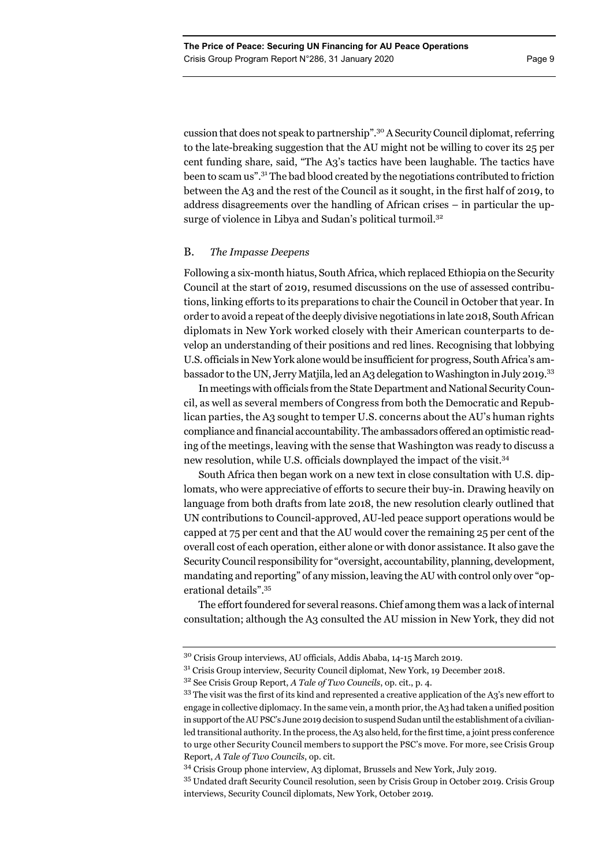cussion that does not speak to partnership".30 A Security Council diplomat, referring to the late-breaking suggestion that the AU might not be willing to cover its 25 per cent funding share, said, "The A3's tactics have been laughable. The tactics have been to scam us".31 The bad blood created by the negotiations contributed to friction between the A3 and the rest of the Council as it sought, in the first half of 2019, to address disagreements over the handling of African crises – in particular the upsurge of violence in Libya and Sudan's political turmoil.<sup>32</sup>

# B. *The Impasse Deepens*

Following a six-month hiatus, South Africa, which replaced Ethiopia on the Security Council at the start of 2019, resumed discussions on the use of assessed contributions, linking efforts to its preparations to chair the Council in October that year. In order to avoid a repeat of the deeply divisive negotiations in late 2018, South African diplomats in New York worked closely with their American counterparts to develop an understanding of their positions and red lines. Recognising that lobbying U.S. officials in New York alone would be insufficient for progress, South Africa's ambassador to the UN, Jerry Matjila, led an A3 delegation to Washington in July 2019.33

In meetings with officials from the State Department and National Security Council, as well as several members of Congress from both the Democratic and Republican parties, the A3 sought to temper U.S. concerns about the AU's human rights compliance and financial accountability. The ambassadors offered an optimistic reading of the meetings, leaving with the sense that Washington was ready to discuss a new resolution, while U.S. officials downplayed the impact of the visit.<sup>34</sup>

South Africa then began work on a new text in close consultation with U.S. diplomats, who were appreciative of efforts to secure their buy-in. Drawing heavily on language from both drafts from late 2018, the new resolution clearly outlined that UN contributions to Council-approved, AU-led peace support operations would be capped at 75 per cent and that the AU would cover the remaining 25 per cent of the overall cost of each operation, either alone or with donor assistance. It also gave the Security Council responsibility for "oversight, accountability, planning, development, mandating and reporting" of any mission, leaving the AU with control only over "operational details".35

The effort foundered for several reasons. Chief among them was a lack of internal consultation; although the A3 consulted the AU mission in New York, they did not

<sup>30</sup> Crisis Group interviews, AU officials, Addis Ababa, 14-15 March 2019.

 $31$  Crisis Group interview, Security Council diplomat, New York, 19 December 2018.

<sup>32</sup> See Crisis Group Report, *A Tale of Two Councils*, op. cit., p. 4.

<sup>33</sup> The visit was the first of its kind and represented a creative application of the A3's new effort to engage in collective diplomacy. In the same vein, a month prior, the A3 had taken a unified position in support of the AU PSC's June 2019 decision to suspend Sudan until the establishment of a civilianled transitional authority. In the process, the A3 also held, for the first time, a joint press conference to urge other Security Council members to support the PSC's move. For more, see Crisis Group Report, *A Tale of Two Councils*, op. cit.

<sup>34</sup> Crisis Group phone interview, A3 diplomat, Brussels and New York, July 2019.

<sup>&</sup>lt;sup>35</sup> Undated draft Security Council resolution, seen by Crisis Group in October 2019. Crisis Group interviews, Security Council diplomats, New York, October 2019.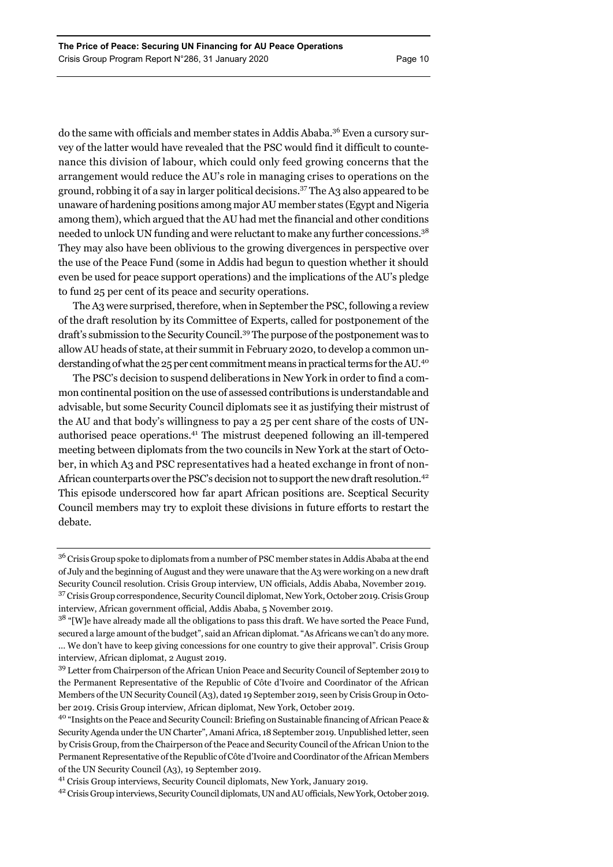do the same with officials and member states in Addis Ababa.<sup>36</sup> Even a cursory survey of the latter would have revealed that the PSC would find it difficult to countenance this division of labour, which could only feed growing concerns that the arrangement would reduce the AU's role in managing crises to operations on the ground, robbing it of a say in larger political decisions.37 The A3 also appeared to be unaware of hardening positions among major AU member states (Egypt and Nigeria among them), which argued that the AU had met the financial and other conditions needed to unlock UN funding and were reluctant to make any further concessions.<sup>38</sup> They may also have been oblivious to the growing divergences in perspective over the use of the Peace Fund (some in Addis had begun to question whether it should even be used for peace support operations) and the implications of the AU's pledge to fund 25 per cent of its peace and security operations.

The A3 were surprised, therefore, when in September the PSC, following a review of the draft resolution by its Committee of Experts, called for postponement of the draft's submission to the Security Council.39 The purpose of the postponement was to allow AU heads of state, at their summit in February 2020, to develop a common understanding of what the 25 per cent commitment means in practical terms for the AU.40

The PSC's decision to suspend deliberations in New York in order to find a common continental position on the use of assessed contributions is understandable and advisable, but some Security Council diplomats see it as justifying their mistrust of the AU and that body's willingness to pay a 25 per cent share of the costs of UNauthorised peace operations.41 The mistrust deepened following an ill-tempered meeting between diplomats from the two councils in New York at the start of October, in which A3 and PSC representatives had a heated exchange in front of non-African counterparts over the PSC's decision not to support the new draft resolution.<sup>42</sup> This episode underscored how far apart African positions are. Sceptical Security Council members may try to exploit these divisions in future efforts to restart the debate.

<sup>&</sup>lt;sup>36</sup> Crisis Group spoke to diplomats from a number of PSC member states in Addis Ababa at the end of July and the beginning of August and they were unaware that the A3 were working on a new draft Security Council resolution. Crisis Group interview, UN officials, Addis Ababa, November 2019. 37 Crisis Group correspondence, Security Council diplomat, New York, October 2019. Crisis Group interview, African government official, Addis Ababa, 5 November 2019.

 $38$  "[W]e have already made all the obligations to pass this draft. We have sorted the Peace Fund, secured a large amount of the budget", said an African diplomat. "As Africans we can't do any more. … We don't have to keep giving concessions for one country to give their approval". Crisis Group interview, African diplomat, 2 August 2019.

<sup>39</sup> Letter from Chairperson of the African Union Peace and Security Council of September 2019 to the Permanent Representative of the Republic of Côte d'Ivoire and Coordinator of the African Members of the UN Security Council (A3), dated 19 September 2019, seen by Crisis Group in October 2019. Crisis Group interview, African diplomat, New York, October 2019.

<sup>40 &</sup>quot;Insights on the Peace and Security Council: Briefing on Sustainable financing of African Peace & Security Agenda under the UN Charter", Amani Africa, 18 September 2019. Unpublished letter, seen by Crisis Group, from the Chairperson of the Peace and Security Council of the African Union to the Permanent Representative of the Republic of Côte d'Ivoire and Coordinator of the African Members of the UN Security Council (A3), 19 September 2019.

<sup>41</sup> Crisis Group interviews, Security Council diplomats, New York, January 2019.

<sup>42</sup> Crisis Group interviews, Security Council diplomats, UN and AU officials, New York, October 2019.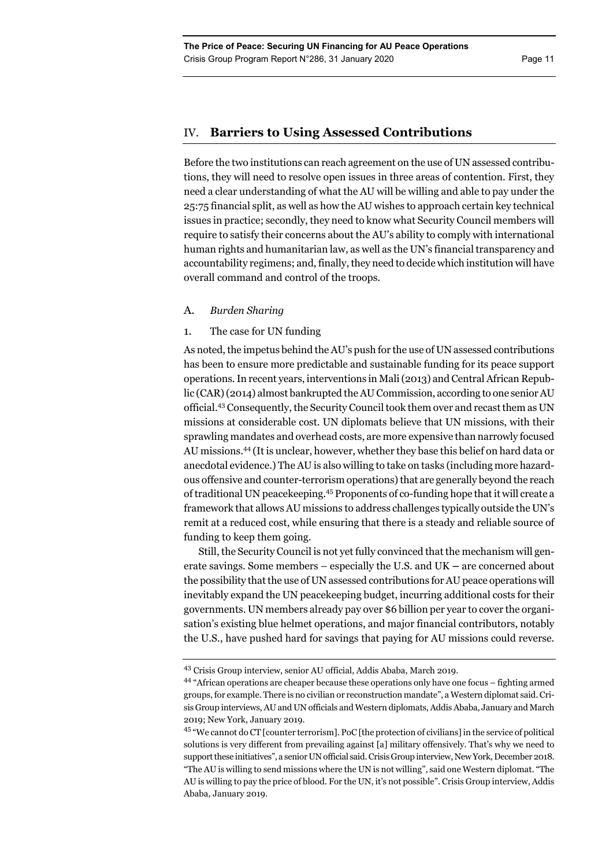# IV. **Barriers to Using Assessed Contributions**

Before the two institutions can reach agreement on the use of UN assessed contributions, they will need to resolve open issues in three areas of contention. First, they need a clear understanding of what the AU will be willing and able to pay under the 25:75 financial split, as well as how the AU wishes to approach certain key technical issues in practice; secondly, they need to know what Security Council members will require to satisfy their concerns about the AU's ability to comply with international human rights and humanitarian law, as well as the UN's financial transparency and accountability regimens; and, finally, they need to decide which institution will have overall command and control of the troops.

# A. *Burden Sharing*

# 1. The case for UN funding

As noted, the impetus behind the AU's push for the use of UN assessed contributions has been to ensure more predictable and sustainable funding for its peace support operations. In recent years, interventions in Mali (2013) and Central African Republic (CAR) (2014) almost bankrupted the AU Commission, according to one senior AU official.43 Consequently, the Security Council took them over and recast them as UN missions at considerable cost. UN diplomats believe that UN missions, with their sprawling mandates and overhead costs, are more expensive than narrowly focused AU missions.44 (It is unclear, however, whether they base this belief on hard data or anecdotal evidence.) The AU is also willing to take on tasks (including more hazardous offensive and counter-terrorism operations) that are generally beyond the reach of traditional UN peacekeeping.45 Proponents of co-funding hope that it will create a framework that allows AU missions to address challenges typically outside the UN's remit at a reduced cost, while ensuring that there is a steady and reliable source of funding to keep them going.

Still, the Security Council is not yet fully convinced that the mechanism will generate savings. Some members – especially the U.S. and UK **–** are concerned about the possibility that the use of UN assessed contributions for AU peace operations will inevitably expand the UN peacekeeping budget, incurring additional costs for their governments. UN members already pay over \$6 billion per year to cover the organisation's existing blue helmet operations, and major financial contributors, notably the U.S., have pushed hard for savings that paying for AU missions could reverse.

<sup>43</sup> Crisis Group interview, senior AU official, Addis Ababa, March 2019.

<sup>44 &</sup>quot;African operations are cheaper because these operations only have one focus – fighting armed groups, for example. There is no civilian or reconstruction mandate", a Western diplomat said. Crisis Group interviews, AU and UN officials and Western diplomats, Addis Ababa, January and March 2019; New York, January 2019.

<sup>&</sup>lt;sup>45</sup> "We cannot do CT [counter terrorism]. PoC [the protection of civilians] in the service of political solutions is very different from prevailing against [a] military offensively. That's why we need to support these initiatives", a senior UN official said. Crisis Group interview, New York, December 2018. "The AU is willing to send missions where the UN is not willing", said one Western diplomat. "The AU is willing to pay the price of blood. For the UN, it's not possible". Crisis Group interview, Addis Ababa, January 2019.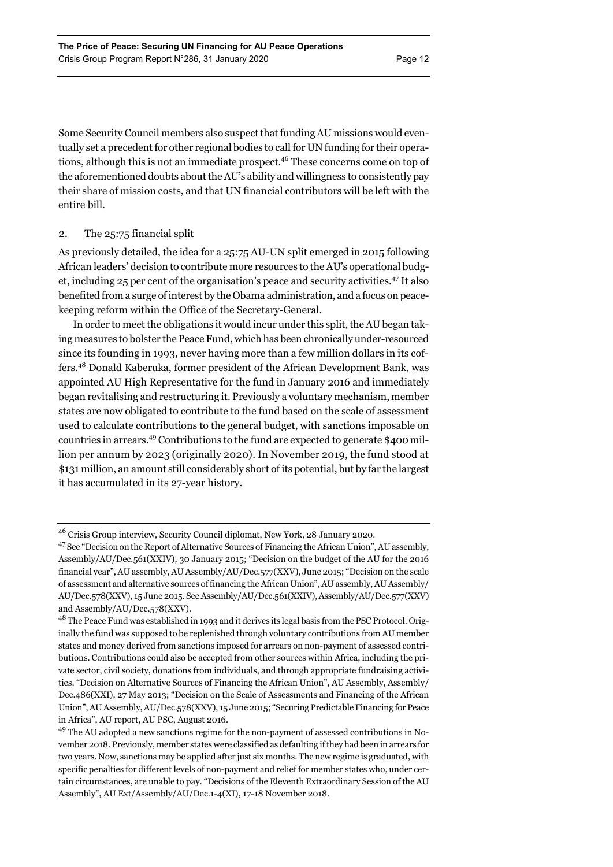Some Security Council members also suspect that funding AU missions would eventually set a precedent for other regional bodies to call for UN funding for their operations, although this is not an immediate prospect.46 These concerns come on top of the aforementioned doubts about the AU's ability and willingness to consistently pay their share of mission costs, and that UN financial contributors will be left with the entire bill.

# 2. The 25:75 financial split

As previously detailed, the idea for a 25:75 AU-UN split emerged in 2015 following African leaders' decision to contribute more resources to the AU's operational budget, including 25 per cent of the organisation's peace and security activities.47 It also benefited from a surge of interest by the Obama administration, and a focus on peacekeeping reform within the Office of the Secretary-General.

In order to meet the obligations it would incur under this split, the AU began taking measures to bolster the Peace Fund, which has been chronically under-resourced since its founding in 1993, never having more than a few million dollars in its coffers.48 Donald Kaberuka, former president of the African Development Bank, was appointed AU High Representative for the fund in January 2016 and immediately began revitalising and restructuring it. Previously a voluntary mechanism, member states are now obligated to contribute to the fund based on the scale of assessment used to calculate contributions to the general budget, with sanctions imposable on countries in arrears.49 Contributions to the fund are expected to generate \$400 million per annum by 2023 (originally 2020). In November 2019, the fund stood at \$131 million, an amount still considerably short of its potential, but by far the largest it has accumulated in its 27-year history.

<sup>46</sup> Crisis Group interview, Security Council diplomat, New York, 28 January 2020.

<sup>&</sup>lt;sup>47</sup> See "Decision on the Report of Alternative Sources of Financing the African Union", AU assembly, Assembly/AU/Dec.561(XXIV), 30 January 2015; "Decision on the budget of the AU for the 2016 financial year", AU assembly, AU Assembly/AU/Dec.577(XXV), June 2015; "Decision on the scale of assessment and alternative sources of financing the African Union", AU assembly, AU Assembly/ AU/Dec.578(XXV), 15 June 2015. See Assembly/AU/Dec.561(XXIV), Assembly/AU/Dec.577(XXV) and Assembly/AU/Dec.578(XXV).

<sup>&</sup>lt;sup>48</sup> The Peace Fund was established in 1993 and it derives its legal basis from the PSC Protocol. Originally the fund was supposed to be replenished through voluntary contributions from AU member states and money derived from sanctions imposed for arrears on non-payment of assessed contributions. Contributions could also be accepted from other sources within Africa, including the private sector, civil society, donations from individuals, and through appropriate fundraising activities. "Decision on Alternative Sources of Financing the African Union", AU Assembly, Assembly/ Dec.486(XXI), 27 May 2013; "Decision on the Scale of Assessments and Financing of the African Union", AU Assembly, AU/Dec.578(XXV), 15 June 2015; "Securing Predictable Financing for Peace in Africa", AU report, AU PSC, August 2016.

<sup>&</sup>lt;sup>49</sup> The AU adopted a new sanctions regime for the non-payment of assessed contributions in November 2018. Previously, member states were classified as defaulting if they had been in arrears for two years. Now, sanctions may be applied after just six months. The new regime is graduated, with specific penalties for different levels of non-payment and relief for member states who, under certain circumstances, are unable to pay. "Decisions of the Eleventh Extraordinary Session of the AU Assembly", AU Ext/Assembly/AU/Dec.1-4(XI), 17-18 November 2018.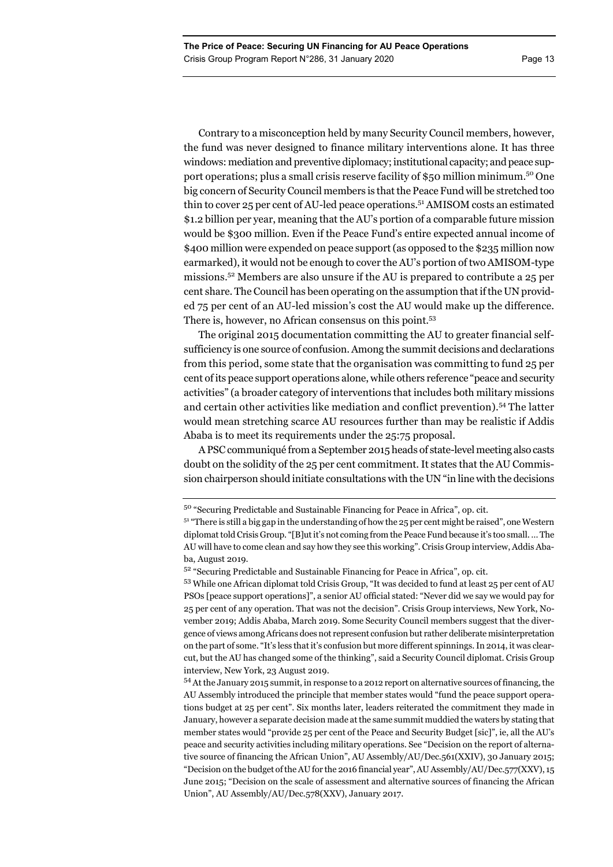Contrary to a misconception held by many Security Council members, however, the fund was never designed to finance military interventions alone. It has three windows: mediation and preventive diplomacy; institutional capacity; and peace support operations; plus a small crisis reserve facility of \$50 million minimum.50 One big concern of Security Council members is that the Peace Fund will be stretched too thin to cover 25 per cent of AU-led peace operations.51 AMISOM costs an estimated \$1.2 billion per year, meaning that the AU's portion of a comparable future mission would be \$300 million. Even if the Peace Fund's entire expected annual income of \$400 million were expended on peace support (as opposed to the \$235 million now earmarked), it would not be enough to cover the AU's portion of two AMISOM-type missions.52 Members are also unsure if the AU is prepared to contribute a 25 per cent share. The Council has been operating on the assumption that if the UN provided 75 per cent of an AU-led mission's cost the AU would make up the difference. There is, however, no African consensus on this point.<sup>53</sup>

The original 2015 documentation committing the AU to greater financial selfsufficiency is one source of confusion. Among the summit decisions and declarations from this period, some state that the organisation was committing to fund 25 per cent of its peace support operations alone, while others reference "peace and security activities" (a broader category of interventions that includes both military missions and certain other activities like mediation and conflict prevention).54 The latter would mean stretching scarce AU resources further than may be realistic if Addis Ababa is to meet its requirements under the 25:75 proposal.

A PSC communiqué from a September 2015 heads of state-level meeting also casts doubt on the solidity of the 25 per cent commitment. It states that the AU Commission chairperson should initiate consultations with the UN "in line with the decisions

<sup>50 &</sup>quot;Securing Predictable and Sustainable Financing for Peace in Africa", op. cit.

 $51$  "There is still a big gap in the understanding of how the 25 per cent might be raised", one Western diplomat told Crisis Group. "[B]ut it's not coming from the Peace Fund because it's too small. … The AU will have to come clean and say how they see this working". Crisis Group interview, Addis Ababa, August 2019.

<sup>52 &</sup>quot;Securing Predictable and Sustainable Financing for Peace in Africa", op. cit.

<sup>53</sup> While one African diplomat told Crisis Group, "It was decided to fund at least 25 per cent of AU PSOs [peace support operations]", a senior AU official stated: "Never did we say we would pay for 25 per cent of any operation. That was not the decision". Crisis Group interviews, New York, November 2019; Addis Ababa, March 2019. Some Security Council members suggest that the divergence of views among Africans does not represent confusion but rather deliberate misinterpretation on the part of some. "It's less that it's confusion but more different spinnings. In 2014, it was clearcut, but the AU has changed some of the thinking", said a Security Council diplomat. Crisis Group interview, New York, 23 August 2019.

<sup>54</sup> At the January 2015 summit, in response to a 2012 report on alternative sources of financing, the AU Assembly introduced the principle that member states would "fund the peace support operations budget at 25 per cent". Six months later, leaders reiterated the commitment they made in January, however a separate decision made at the same summit muddied the waters by stating that member states would "provide 25 per cent of the Peace and Security Budget [sic]", ie, all the AU's peace and security activities including military operations. See "Decision on the report of alternative source of financing the African Union", AU Assembly/AU/Dec.561(XXIV), 30 January 2015; "Decision on the budget of the AU for the 2016 financial year", AU Assembly/AU/Dec.577(XXV), 15 June 2015; "Decision on the scale of assessment and alternative sources of financing the African Union", AU Assembly/AU/Dec.578(XXV), January 2017.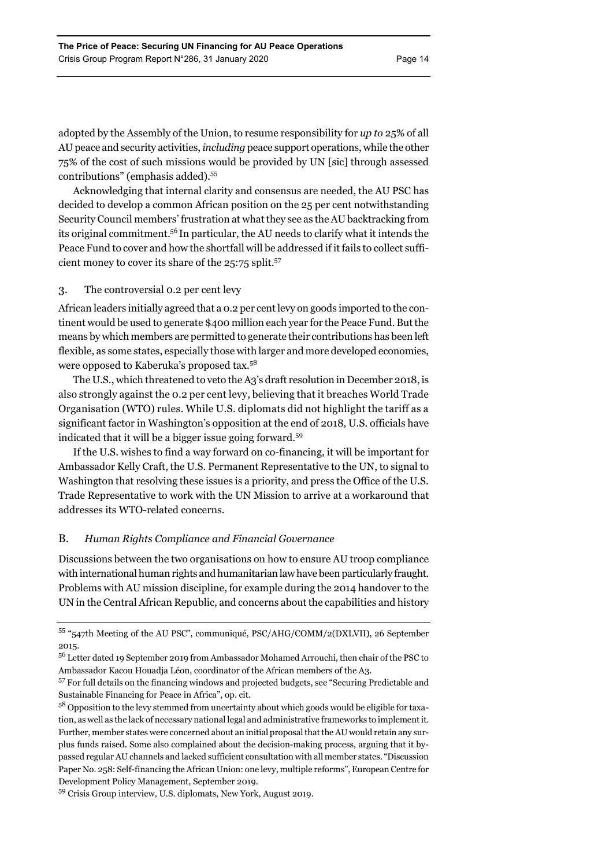adopted by the Assembly of the Union, to resume responsibility for *up to* 25% of all AU peace and security activities, *including* peace support operations, while the other 75% of the cost of such missions would be provided by UN [sic] through assessed contributions" (emphasis added).55

Acknowledging that internal clarity and consensus are needed, the AU PSC has decided to develop a common African position on the 25 per cent notwithstanding Security Council members' frustration at what they see as the AU backtracking from its original commitment.56 In particular, the AU needs to clarify what it intends the Peace Fund to cover and how the shortfall will be addressed if it fails to collect sufficient money to cover its share of the 25:75 split.<sup>57</sup>

# 3. The controversial 0.2 per cent levy

African leaders initially agreed that a 0.2 per cent levy on goods imported to the continent would be used to generate \$400 million each year for the Peace Fund. But the means by which members are permitted to generate their contributions has been left flexible, as some states, especially those with larger and more developed economies, were opposed to Kaberuka's proposed tax.58

The U.S., which threatened to veto the A3's draft resolution in December 2018, is also strongly against the 0.2 per cent levy, believing that it breaches World Trade Organisation (WTO) rules. While U.S. diplomats did not highlight the tariff as a significant factor in Washington's opposition at the end of 2018, U.S. officials have indicated that it will be a bigger issue going forward.59

If the U.S. wishes to find a way forward on co-financing, it will be important for Ambassador Kelly Craft, the U.S. Permanent Representative to the UN, to signal to Washington that resolving these issues is a priority, and press the Office of the U.S. Trade Representative to work with the UN Mission to arrive at a workaround that addresses its WTO-related concerns.

# B. *Human Rights Compliance and Financial Governance*

Discussions between the two organisations on how to ensure AU troop compliance with international human rights and humanitarian law have been particularly fraught. Problems with AU mission discipline, for example during the 2014 handover to the UN in the Central African Republic, and concerns about the capabilities and history

<sup>55 &</sup>quot;547th Meeting of the AU PSC", communiqué, PSC/AHG/COMM/2(DXLVII), 26 September 2015.

<sup>56</sup> Letter dated 19 September 2019 from Ambassador Mohamed Arrouchi, then chair of the PSC to Ambassador Kacou Houadja Léon, coordinator of the African members of the A3.

<sup>&</sup>lt;sup>57</sup> For full details on the financing windows and projected budgets, see "Securing Predictable and Sustainable Financing for Peace in Africa", op. cit.

<sup>&</sup>lt;sup>58</sup> Opposition to the levy stemmed from uncertainty about which goods would be eligible for taxation, as well as the lack of necessary national legal and administrative frameworks to implement it. Further, member states were concerned about an initial proposal that the AU would retain any surplus funds raised. Some also complained about the decision-making process, arguing that it bypassed regular AU channels and lacked sufficient consultation with all member states. "Discussion Paper No. 258: Self-financing the African Union: one levy, multiple reforms", European Centre for Development Policy Management, September 2019.

<sup>59</sup> Crisis Group interview, U.S. diplomats, New York, August 2019.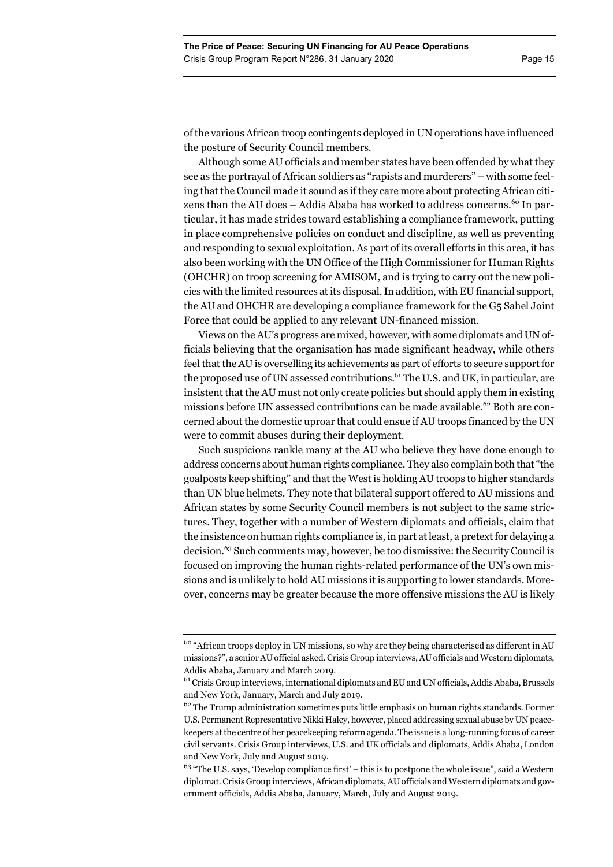of the various African troop contingents deployed in UN operations have influenced the posture of Security Council members.

Although some AU officials and member states have been offended by what they see as the portrayal of African soldiers as "rapists and murderers" – with some feeling that the Council made it sound as if they care more about protecting African citizens than the AU does  $-$  Addis Ababa has worked to address concerns.<sup>60</sup> In particular, it has made strides toward establishing a compliance framework, putting in place comprehensive policies on conduct and discipline, as well as preventing and responding to sexual exploitation. As part of its overall efforts in this area, it has also been working with the UN Office of the High Commissioner for Human Rights (OHCHR) on troop screening for AMISOM, and is trying to carry out the new policies with the limited resources at its disposal. In addition, with EU financial support, the AU and OHCHR are developing a compliance framework for the G5 Sahel Joint Force that could be applied to any relevant UN-financed mission.

Views on the AU's progress are mixed, however, with some diplomats and UN officials believing that the organisation has made significant headway, while others feel that the AU is overselling its achievements as part of efforts to secure support for the proposed use of UN assessed contributions.<sup>61</sup> The U.S. and UK, in particular, are insistent that the AU must not only create policies but should apply them in existing missions before UN assessed contributions can be made available.<sup>62</sup> Both are concerned about the domestic uproar that could ensue if AU troops financed by the UN were to commit abuses during their deployment.

Such suspicions rankle many at the AU who believe they have done enough to address concerns about human rights compliance. They also complain both that "the goalposts keep shifting" and that the West is holding AU troops to higher standards than UN blue helmets. They note that bilateral support offered to AU missions and African states by some Security Council members is not subject to the same strictures. They, together with a number of Western diplomats and officials, claim that the insistence on human rights compliance is, in part at least, a pretext for delaying a decision.63 Such comments may, however, be too dismissive: the Security Council is focused on improving the human rights-related performance of the UN's own missions and is unlikely to hold AU missions it is supporting to lower standards. Moreover, concerns may be greater because the more offensive missions the AU is likely

<sup>&</sup>lt;sup>60</sup> "African troops deploy in UN missions, so why are they being characterised as different in AU missions?", a senior AU official asked. Crisis Group interviews, AU officials and Western diplomats, Addis Ababa, January and March 2019.

 $61$  Crisis Group interviews, international diplomats and EU and UN officials, Addis Ababa, Brussels and New York, January, March and July 2019.

 $62$  The Trump administration sometimes puts little emphasis on human rights standards. Former U.S. Permanent Representative Nikki Haley, however, placed addressing sexual abuse by UN peacekeepers at the centre of her peacekeeping reform agenda. The issue is a long-running focus of career civil servants. Crisis Group interviews, U.S. and UK officials and diplomats, Addis Ababa, London and New York, July and August 2019.

 $63$  "The U.S. says, 'Develop compliance first' – this is to postpone the whole issue", said a Western diplomat. Crisis Group interviews, African diplomats, AU officials and Western diplomats and government officials, Addis Ababa, January, March, July and August 2019.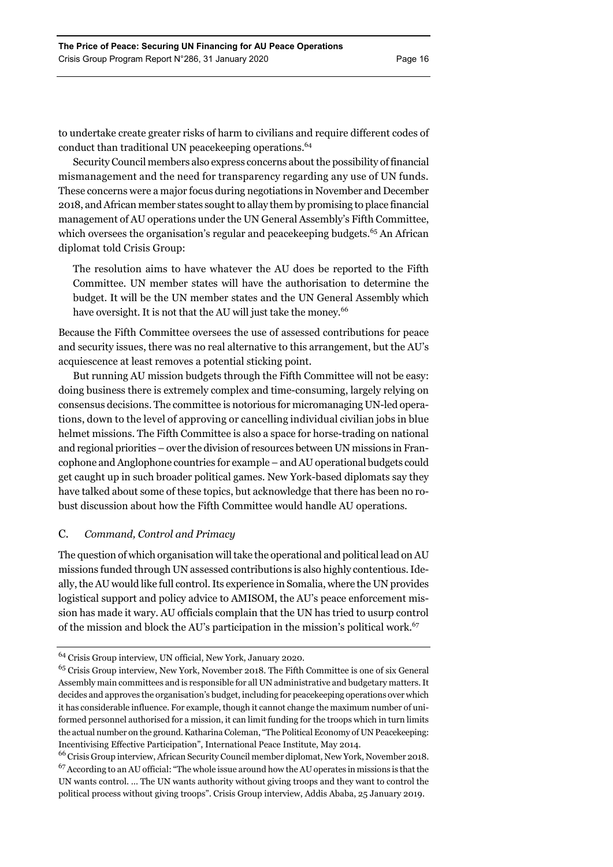to undertake create greater risks of harm to civilians and require different codes of conduct than traditional UN peacekeeping operations.<sup>64</sup>

Security Council members also express concerns about the possibility of financial mismanagement and the need for transparency regarding any use of UN funds. These concerns were a major focus during negotiations in November and December 2018, and African member states sought to allay them by promising to place financial management of AU operations under the UN General Assembly's Fifth Committee, which oversees the organisation's regular and peacekeeping budgets.<sup>65</sup> An African diplomat told Crisis Group:

The resolution aims to have whatever the AU does be reported to the Fifth Committee. UN member states will have the authorisation to determine the budget. It will be the UN member states and the UN General Assembly which have oversight. It is not that the AU will just take the money.<sup>66</sup>

Because the Fifth Committee oversees the use of assessed contributions for peace and security issues, there was no real alternative to this arrangement, but the AU's acquiescence at least removes a potential sticking point.

But running AU mission budgets through the Fifth Committee will not be easy: doing business there is extremely complex and time-consuming, largely relying on consensus decisions. The committee is notorious for micromanaging UN-led operations, down to the level of approving or cancelling individual civilian jobs in blue helmet missions. The Fifth Committee is also a space for horse-trading on national and regional priorities – over the division of resources between UN missions in Francophone and Anglophone countries for example – and AU operational budgets could get caught up in such broader political games. New York-based diplomats say they have talked about some of these topics, but acknowledge that there has been no robust discussion about how the Fifth Committee would handle AU operations.

# C. *Command, Control and Primacy*

The question of which organisation will take the operational and political lead on AU missions funded through UN assessed contributions is also highly contentious. Ideally, the AU would like full control. Its experience in Somalia, where the UN provides logistical support and policy advice to AMISOM, the AU's peace enforcement mission has made it wary. AU officials complain that the UN has tried to usurp control of the mission and block the AU's participation in the mission's political work.<sup>67</sup>

<sup>64</sup> Crisis Group interview, UN official, New York, January 2020.

<sup>65</sup> Crisis Group interview, New York, November 2018. The Fifth Committee is one of six General Assembly main committees and is responsible for all UN administrative and budgetary matters. It decides and approves the organisation's budget, including for peacekeeping operations over which it has considerable influence. For example, though it cannot change the maximum number of uniformed personnel authorised for a mission, it can limit funding for the troops which in turn limits the actual number on the ground. Katharina Coleman, "The Political Economy of UN Peacekeeping: Incentivising Effective Participation", International Peace Institute, May 2014.

<sup>66</sup> Crisis Group interview, African Security Council member diplomat, New York, November 2018.  $67$  According to an AU official: "The whole issue around how the AU operates in missions is that the UN wants control. … The UN wants authority without giving troops and they want to control the political process without giving troops". Crisis Group interview, Addis Ababa, 25 January 2019.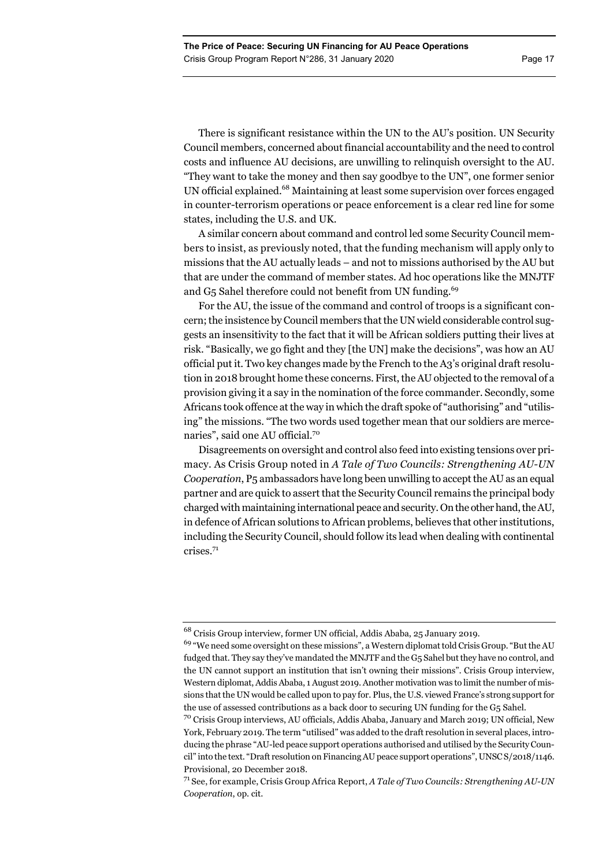There is significant resistance within the UN to the AU's position. UN Security Council members, concerned about financial accountability and the need to control costs and influence AU decisions, are unwilling to relinquish oversight to the AU. "They want to take the money and then say goodbye to the UN", one former senior UN official explained.<sup>68</sup> Maintaining at least some supervision over forces engaged in counter-terrorism operations or peace enforcement is a clear red line for some states, including the U.S. and UK.

A similar concern about command and control led some Security Council members to insist, as previously noted, that the funding mechanism will apply only to missions that the AU actually leads – and not to missions authorised by the AU but that are under the command of member states. Ad hoc operations like the MNJTF and G<sub>5</sub> Sahel therefore could not benefit from UN funding.<sup>69</sup>

For the AU, the issue of the command and control of troops is a significant concern; the insistence by Council members that the UN wield considerable control suggests an insensitivity to the fact that it will be African soldiers putting their lives at risk. "Basically, we go fight and they [the UN] make the decisions", was how an AU official put it. Two key changes made by the French to the A3's original draft resolution in 2018 brought home these concerns. First, the AU objected to the removal of a provision giving it a say in the nomination of the force commander. Secondly, some Africans took offence at the way in which the draft spoke of "authorising" and "utilising" the missions. "The two words used together mean that our soldiers are mercenaries", said one AU official.70

Disagreements on oversight and control also feed into existing tensions over primacy. As Crisis Group noted in *A Tale of Two Councils: Strengthening AU-UN Cooperation*, P5 ambassadors have long been unwilling to accept the AU as an equal partner and are quick to assert that the Security Council remains the principal body charged with maintaining international peace and security. On the other hand, the AU, in defence of African solutions to African problems, believes that other institutions, including the Security Council, should follow its lead when dealing with continental crises.71

<sup>68</sup> Crisis Group interview, former UN official, Addis Ababa, 25 January 2019.

<sup>&</sup>lt;sup>69</sup> "We need some oversight on these missions", a Western diplomat told Crisis Group. "But the AU fudged that. They say they've mandated the MNJTF and the G5 Sahel but they have no control, and the UN cannot support an institution that isn't owning their missions". Crisis Group interview, Western diplomat, Addis Ababa, 1 August 2019. Another motivation was to limit the number of missions that the UN would be called upon to pay for. Plus, the U.S. viewed France's strong support for the use of assessed contributions as a back door to securing UN funding for the G5 Sahel.

<sup>70</sup> Crisis Group interviews, AU officials, Addis Ababa, January and March 2019; UN official, New York, February 2019. The term "utilised" was added to the draft resolution in several places, introducing the phrase "AU-led peace support operations authorised and utilised by the Security Council" into the text. "Draft resolution on Financing AU peace support operations", UNSC S/2018/1146. Provisional, 20 December 2018.

<sup>71</sup> See, for example, Crisis Group Africa Report, *A Tale of Two Councils: Strengthening AU-UN Cooperation*, op. cit.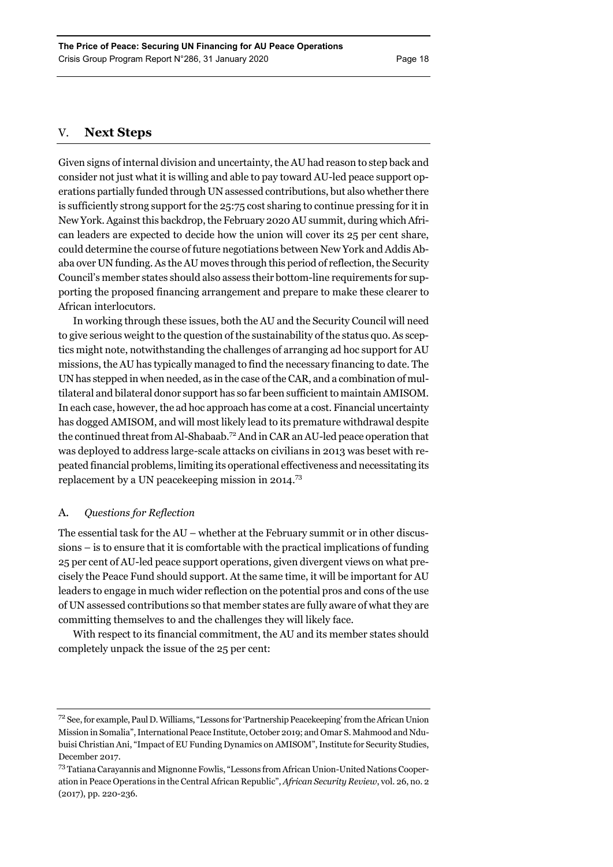# V. **Next Steps**

Given signs of internal division and uncertainty, the AU had reason to step back and consider not just what it is willing and able to pay toward AU-led peace support operations partially funded through UN assessed contributions, but also whether there is sufficiently strong support for the 25:75 cost sharing to continue pressing for it in New York. Against this backdrop, the February 2020 AU summit, during which African leaders are expected to decide how the union will cover its 25 per cent share, could determine the course of future negotiations between New York and Addis Ababa over UN funding. As the AU moves through this period of reflection, the Security Council's member states should also assess their bottom-line requirements for supporting the proposed financing arrangement and prepare to make these clearer to African interlocutors.

In working through these issues, both the AU and the Security Council will need to give serious weight to the question of the sustainability of the status quo. As sceptics might note, notwithstanding the challenges of arranging ad hoc support for AU missions, the AU has typically managed to find the necessary financing to date. The UN has stepped in when needed, as in the case of the CAR, and a combination of multilateral and bilateral donor support has so far been sufficient to maintain AMISOM. In each case, however, the ad hoc approach has come at a cost. Financial uncertainty has dogged AMISOM, and will most likely lead to its premature withdrawal despite the continued threat from Al-Shabaab.72 And in CAR an AU-led peace operation that was deployed to address large-scale attacks on civilians in 2013 was beset with repeated financial problems, limiting its operational effectiveness and necessitating its replacement by a UN peacekeeping mission in 2014.73

# A. *Questions for Reflection*

The essential task for the  $AU$  – whether at the February summit or in other discussions – is to ensure that it is comfortable with the practical implications of funding 25 per cent of AU-led peace support operations, given divergent views on what precisely the Peace Fund should support. At the same time, it will be important for AU leaders to engage in much wider reflection on the potential pros and cons of the use of UN assessed contributions so that member states are fully aware of what they are committing themselves to and the challenges they will likely face.

With respect to its financial commitment, the AU and its member states should completely unpack the issue of the 25 per cent:

<sup>72</sup> See, for example, Paul D. Williams, "Lessons for 'Partnership Peacekeeping' from the African Union Mission in Somalia", International Peace Institute, October 2019; and Omar S. Mahmood and Ndubuisi Christian Ani, "Impact of EU Funding Dynamics on AMISOM", Institute for Security Studies, December 2017.

<sup>73</sup> Tatiana Carayannis and Mignonne Fowlis, "Lessons from African Union-United Nations Cooperation in Peace Operations in the Central African Republic", *African Security Review*, vol. 26, no. 2 (2017), pp. 220-236.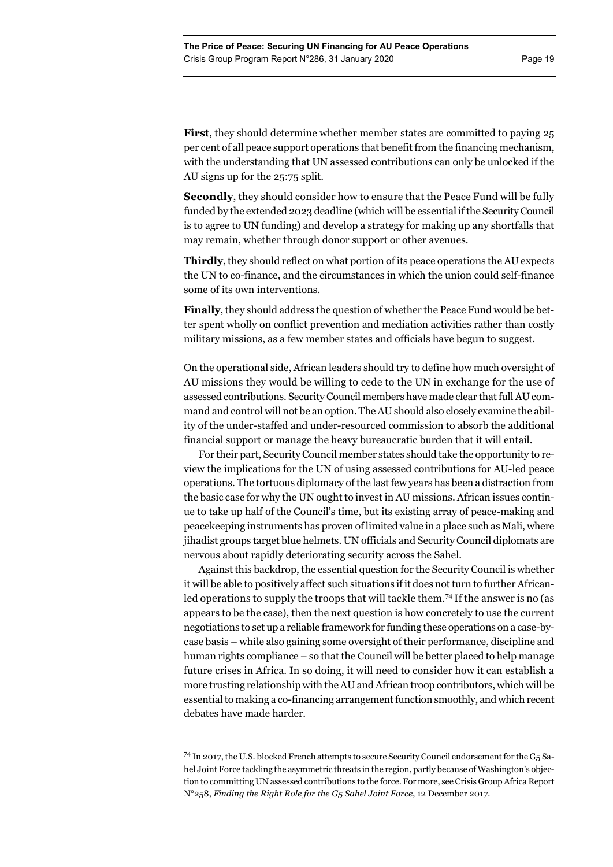**First**, they should determine whether member states are committed to paying 25 per cent of all peace support operations that benefit from the financing mechanism, with the understanding that UN assessed contributions can only be unlocked if the AU signs up for the 25:75 split.

**Secondly**, they should consider how to ensure that the Peace Fund will be fully funded by the extended 2023 deadline (which will be essential if the Security Council is to agree to UN funding) and develop a strategy for making up any shortfalls that may remain, whether through donor support or other avenues.

**Thirdly**, they should reflect on what portion of its peace operations the AU expects the UN to co-finance, and the circumstances in which the union could self-finance some of its own interventions.

**Finally**, they should address the question of whether the Peace Fund would be better spent wholly on conflict prevention and mediation activities rather than costly military missions, as a few member states and officials have begun to suggest.

On the operational side, African leaders should try to define how much oversight of AU missions they would be willing to cede to the UN in exchange for the use of assessed contributions. Security Council members have made clear that full AU command and control will not be an option. The AU should also closely examine the ability of the under-staffed and under-resourced commission to absorb the additional financial support or manage the heavy bureaucratic burden that it will entail.

For their part, Security Council member states should take the opportunity to review the implications for the UN of using assessed contributions for AU-led peace operations. The tortuous diplomacy of the last few years has been a distraction from the basic case for why the UN ought to invest in AU missions. African issues continue to take up half of the Council's time, but its existing array of peace-making and peacekeeping instruments has proven of limited value in a place such as Mali, where jihadist groups target blue helmets. UN officials and Security Council diplomats are nervous about rapidly deteriorating security across the Sahel.

Against this backdrop, the essential question for the Security Council is whether it will be able to positively affect such situations if it does not turn to further Africanled operations to supply the troops that will tackle them.<sup>74</sup> If the answer is no (as appears to be the case), then the next question is how concretely to use the current negotiations to set up a reliable framework for funding these operations on a case-bycase basis – while also gaining some oversight of their performance, discipline and human rights compliance – so that the Council will be better placed to help manage future crises in Africa. In so doing, it will need to consider how it can establish a more trusting relationship with the AU and African troop contributors, which will be essential to making a co-financing arrangement function smoothly, and which recent debates have made harder.

<sup>74</sup> In 2017, the U.S. blocked French attempts to secure Security Council endorsement for the G5 Sahel Joint Force tackling the asymmetric threats in the region, partly because of Washington's objection to committing UN assessed contributions to the force. For more, see Crisis Group Africa Report N°258, *Finding the Right Role for the G5 Sahel Joint Force*, 12 December 2017.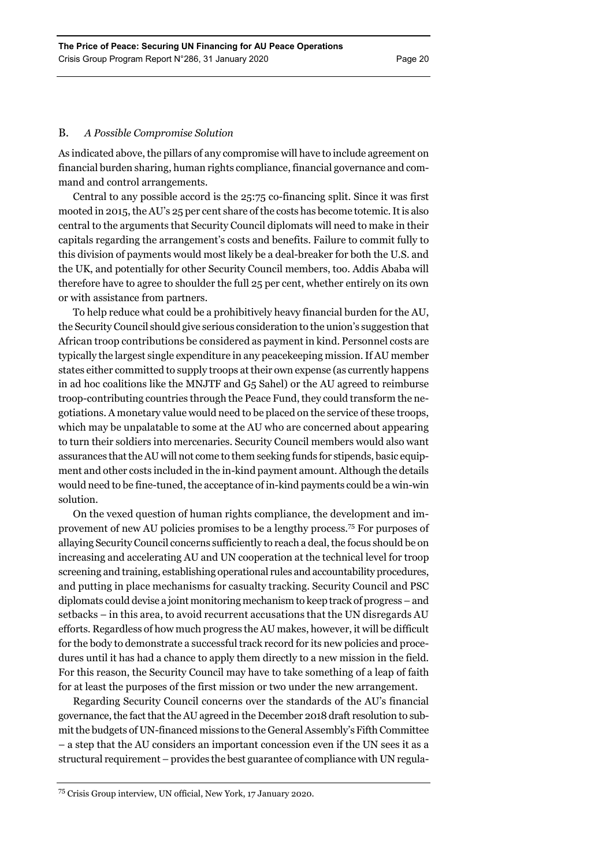# B. *A Possible Compromise Solution*

As indicated above, the pillars of any compromise will have to include agreement on financial burden sharing, human rights compliance, financial governance and command and control arrangements.

Central to any possible accord is the 25:75 co-financing split. Since it was first mooted in 2015, the AU's 25 per cent share of the costs has become totemic. It is also central to the arguments that Security Council diplomats will need to make in their capitals regarding the arrangement's costs and benefits. Failure to commit fully to this division of payments would most likely be a deal-breaker for both the U.S. and the UK, and potentially for other Security Council members, too. Addis Ababa will therefore have to agree to shoulder the full 25 per cent, whether entirely on its own or with assistance from partners.

To help reduce what could be a prohibitively heavy financial burden for the AU, the Security Council should give serious consideration to the union's suggestion that African troop contributions be considered as payment in kind. Personnel costs are typically the largest single expenditure in any peacekeeping mission. If AU member states either committed to supply troops at their own expense (as currently happens in ad hoc coalitions like the MNJTF and G5 Sahel) or the AU agreed to reimburse troop-contributing countries through the Peace Fund, they could transform the negotiations. A monetary value would need to be placed on the service of these troops, which may be unpalatable to some at the AU who are concerned about appearing to turn their soldiers into mercenaries. Security Council members would also want assurances that the AU will not come to them seeking funds for stipends, basic equipment and other costs included in the in-kind payment amount. Although the details would need to be fine-tuned, the acceptance of in-kind payments could be a win-win solution.

On the vexed question of human rights compliance, the development and improvement of new AU policies promises to be a lengthy process.75 For purposes of allaying Security Council concerns sufficiently to reach a deal, the focus should be on increasing and accelerating AU and UN cooperation at the technical level for troop screening and training, establishing operational rules and accountability procedures, and putting in place mechanisms for casualty tracking. Security Council and PSC diplomats could devise a joint monitoring mechanism to keep track of progress – and setbacks – in this area, to avoid recurrent accusations that the UN disregards AU efforts. Regardless of how much progress the AU makes, however, it will be difficult for the body to demonstrate a successful track record for its new policies and procedures until it has had a chance to apply them directly to a new mission in the field. For this reason, the Security Council may have to take something of a leap of faith for at least the purposes of the first mission or two under the new arrangement.

Regarding Security Council concerns over the standards of the AU's financial governance, the fact that the AU agreed in the December 2018 draft resolution to submit the budgets of UN-financed missions to the General Assembly's Fifth Committee – a step that the AU considers an important concession even if the UN sees it as a structural requirement – provides the best guarantee of compliance with UN regula-

<sup>75</sup> Crisis Group interview, UN official, New York, 17 January 2020.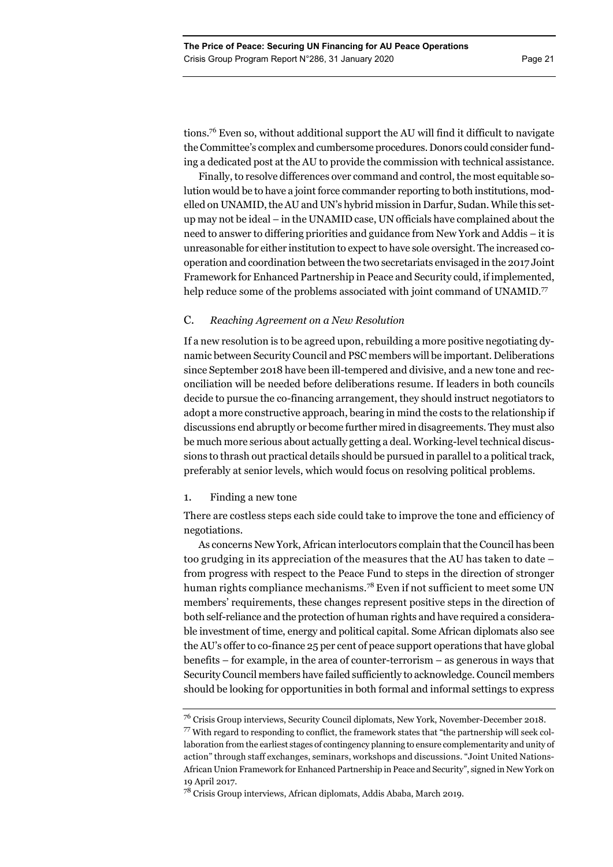tions.76 Even so, without additional support the AU will find it difficult to navigate the Committee's complex and cumbersome procedures. Donors could consider funding a dedicated post at the AU to provide the commission with technical assistance.

Finally, to resolve differences over command and control, the most equitable solution would be to have a joint force commander reporting to both institutions, modelled on UNAMID, the AU and UN's hybrid mission in Darfur, Sudan. While this setup may not be ideal – in the UNAMID case, UN officials have complained about the need to answer to differing priorities and guidance from New York and Addis – it is unreasonable for either institution to expect to have sole oversight. The increased cooperation and coordination between the two secretariats envisaged in the 2017 Joint Framework for Enhanced Partnership in Peace and Security could, if implemented, help reduce some of the problems associated with joint command of UNAMID.<sup>77</sup>

# C. *Reaching Agreement on a New Resolution*

If a new resolution is to be agreed upon, rebuilding a more positive negotiating dynamic between Security Council and PSC members will be important. Deliberations since September 2018 have been ill-tempered and divisive, and a new tone and reconciliation will be needed before deliberations resume. If leaders in both councils decide to pursue the co-financing arrangement, they should instruct negotiators to adopt a more constructive approach, bearing in mind the costs to the relationship if discussions end abruptly or become further mired in disagreements. They must also be much more serious about actually getting a deal. Working-level technical discussions to thrash out practical details should be pursued in parallel to a political track, preferably at senior levels, which would focus on resolving political problems.

# 1. Finding a new tone

There are costless steps each side could take to improve the tone and efficiency of negotiations.

As concerns New York, African interlocutors complain that the Council has been too grudging in its appreciation of the measures that the AU has taken to date – from progress with respect to the Peace Fund to steps in the direction of stronger human rights compliance mechanisms.<sup>78</sup> Even if not sufficient to meet some UN members' requirements, these changes represent positive steps in the direction of both self-reliance and the protection of human rights and have required a considerable investment of time, energy and political capital. Some African diplomats also see the AU's offer to co-finance 25 per cent of peace support operations that have global benefits – for example, in the area of counter-terrorism – as generous in ways that Security Council members have failed sufficiently to acknowledge. Council members should be looking for opportunities in both formal and informal settings to express

<sup>76</sup> Crisis Group interviews, Security Council diplomats, New York, November-December 2018. 77 With regard to responding to conflict, the framework states that "the partnership will seek collaboration from the earliest stages of contingency planning to ensure complementarity and unity of action" through staff exchanges, seminars, workshops and discussions. "Joint United Nations-African Union Framework for Enhanced Partnership in Peace and Security", signed in New York on 19 April 2017.

<sup>78</sup> Crisis Group interviews, African diplomats, Addis Ababa, March 2019.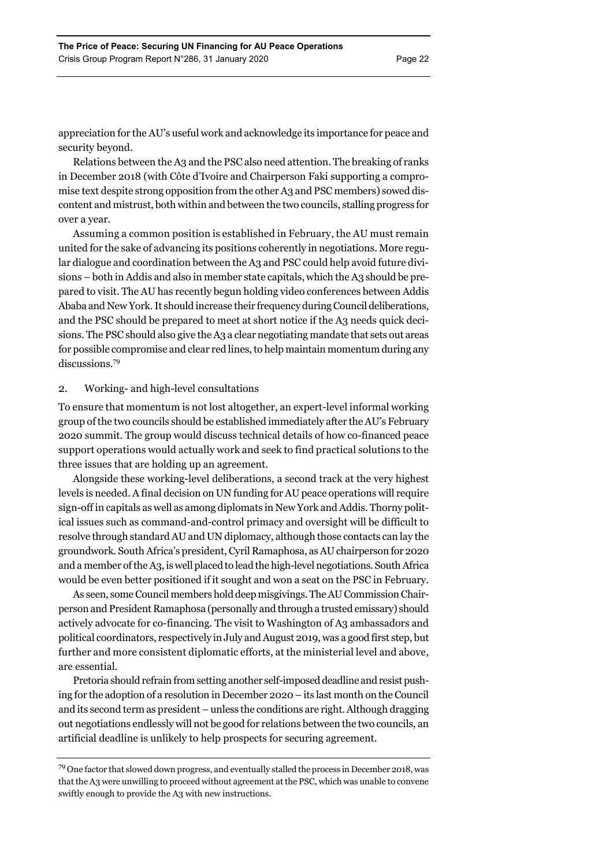appreciation for the AU's useful work and acknowledge its importance for peace and security beyond.

Relations between the A3 and the PSC also need attention. The breaking of ranks in December 2018 (with Côte d'Ivoire and Chairperson Faki supporting a compromise text despite strong opposition from the other A3 and PSC members) sowed discontent and mistrust, both within and between the two councils, stalling progress for over a year.

Assuming a common position is established in February, the AU must remain united for the sake of advancing its positions coherently in negotiations. More regular dialogue and coordination between the A3 and PSC could help avoid future divisions – both in Addis and also in member state capitals, which the A3 should be prepared to visit. The AU has recently begun holding video conferences between Addis Ababa and New York. It should increase their frequency during Council deliberations, and the PSC should be prepared to meet at short notice if the A3 needs quick decisions. The PSC should also give the A3 a clear negotiating mandate that sets out areas for possible compromise and clear red lines, to help maintain momentum during any discussions.79

# 2. Working- and high-level consultations

To ensure that momentum is not lost altogether, an expert-level informal working group of the two councils should be established immediately after the AU's February 2020 summit. The group would discuss technical details of how co-financed peace support operations would actually work and seek to find practical solutions to the three issues that are holding up an agreement.

Alongside these working-level deliberations, a second track at the very highest levels is needed. A final decision on UN funding for AU peace operations will require sign-off in capitals as well as among diplomats in New York and Addis. Thorny political issues such as command-and-control primacy and oversight will be difficult to resolve through standard AU and UN diplomacy, although those contacts can lay the groundwork. South Africa's president, Cyril Ramaphosa, as AU chairperson for 2020 and a member of the A3, is well placed to lead the high-level negotiations. South Africa would be even better positioned if it sought and won a seat on the PSC in February.

As seen, some Council members hold deep misgivings. The AU Commission Chairperson and President Ramaphosa (personally and through a trusted emissary) should actively advocate for co-financing. The visit to Washington of A3 ambassadors and political coordinators, respectively in July and August 2019, was a good first step, but further and more consistent diplomatic efforts, at the ministerial level and above, are essential.

Pretoria should refrain from setting another self-imposed deadline and resist pushing for the adoption of a resolution in December 2020 – its last month on the Council and its second term as president – unless the conditions are right. Although dragging out negotiations endlessly will not be good for relations between the two councils, an artificial deadline is unlikely to help prospects for securing agreement.

 $79$  One factor that slowed down progress, and eventually stalled the process in December 2018, was that the A3 were unwilling to proceed without agreement at the PSC, which was unable to convene swiftly enough to provide the A3 with new instructions.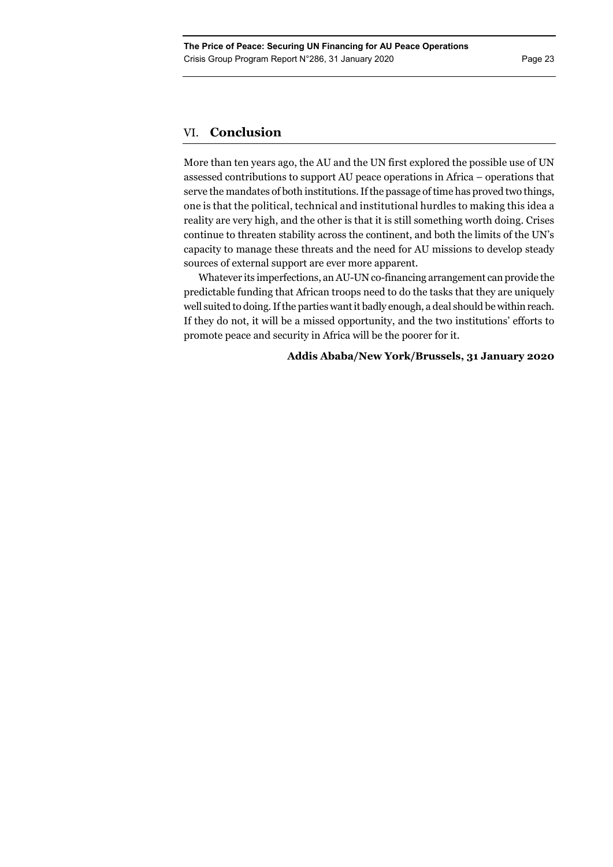# VI. **Conclusion**

More than ten years ago, the AU and the UN first explored the possible use of UN assessed contributions to support AU peace operations in Africa – operations that serve the mandates of both institutions. If the passage of time has proved two things, one is that the political, technical and institutional hurdles to making this idea a reality are very high, and the other is that it is still something worth doing. Crises continue to threaten stability across the continent, and both the limits of the UN's capacity to manage these threats and the need for AU missions to develop steady sources of external support are ever more apparent.

Whatever its imperfections, an AU-UN co-financing arrangement can provide the predictable funding that African troops need to do the tasks that they are uniquely well suited to doing. If the parties want it badly enough, a deal should be within reach. If they do not, it will be a missed opportunity, and the two institutions' efforts to promote peace and security in Africa will be the poorer for it.

# **Addis Ababa/New York/Brussels, 31 January 2020**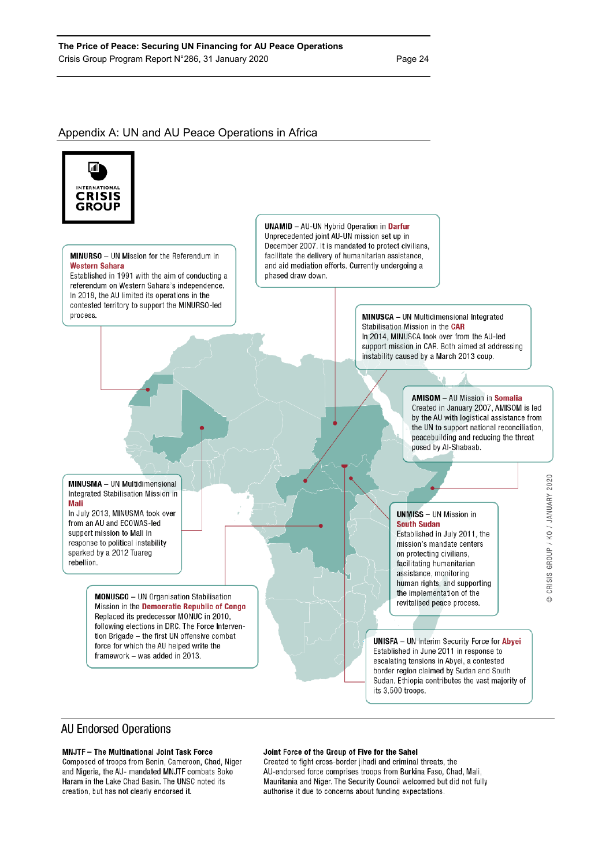# Appendix A: UN and AU Peace Operations in Africa



MINURSO - UN Mission for the Referendum in **Western Sahara** Established in 1991 with the aim of conducting a referendum on Western Sahara's independence. In 2018, the AU limited its operations in the contested territory to support the MINURSO-led process.

**UNAMID** - AU-UN Hybrid Operation in Darfur Unprecedented joint AU-UN mission set up in December 2007. It is mandated to protect civilians. facilitate the delivery of humanitarian assistance. and aid mediation efforts. Currently undergoing a phased draw down.

> **MINUSCA** - UN Multidimensional Integrated Stabilisation Mission in the CAR In 2014. MINUSCA took over from the AU-led support mission in CAR. Both aimed at addressing instability caused by a March 2013 coup.

> > **AMISOM** - AU Mission in **Somalia** Created in January 2007, AMISOM is led by the AU with logistical assistance from the UN to support national reconciliation, peacebuilding and reducing the threat posed by Al-Shabaab.

> > > CRISIS GROUP / KO / JANUARY 2020

 $\odot$ 

**MINUSMA** - UN Multidimensional Integrated Stabilisation Mission in Mali

In July 2013, MINUSMA took over from an AU and ECOWAS-led support mission to Mali in response to political instability sparked by a 2012 Tuareg rebellion.

> **MONUSCO** - UN Organisation Stabilisation Mission in the Democratic Republic of Congo Replaced its predecessor MONUC in 2010. following elections in DRC. The Force Intervention Brigade - the first UN offensive combat force for which the AU helped write the framework - was added in 2013.

**UNMISS** - UN Mission in **South Sudan** Established in July 2011, the mission's mandate centers on protecting civilians, facilitating humanitarian assistance, monitoring human rights, and supporting the implementation of the revitalised peace process.

**UNISFA** - UN Interim Security Force for Abyei Established in June 2011 in response to escalating tensions in Abyei, a contested border region claimed by Sudan and South Sudan. Ethiopia contributes the vast majority of its 3,500 troops.

# **AU Endorsed Operations**

# MNJTF - The Multinational Joint Task Force

Composed of troops from Benin, Cameroon, Chad, Niger and Nigeria, the AU- mandated MNJTF combats Boko Haram in the Lake Chad Basin. The UNSC noted its creation, but has not clearly endorsed it.

### Joint Force of the Group of Five for the Sahel

Created to fight cross-border jihadi and criminal threats, the AU-endorsed force comprises troops from Burkina Faso, Chad, Mali, Mauritania and Niger. The Security Council welcomed but did not fully authorise it due to concerns about funding expectations.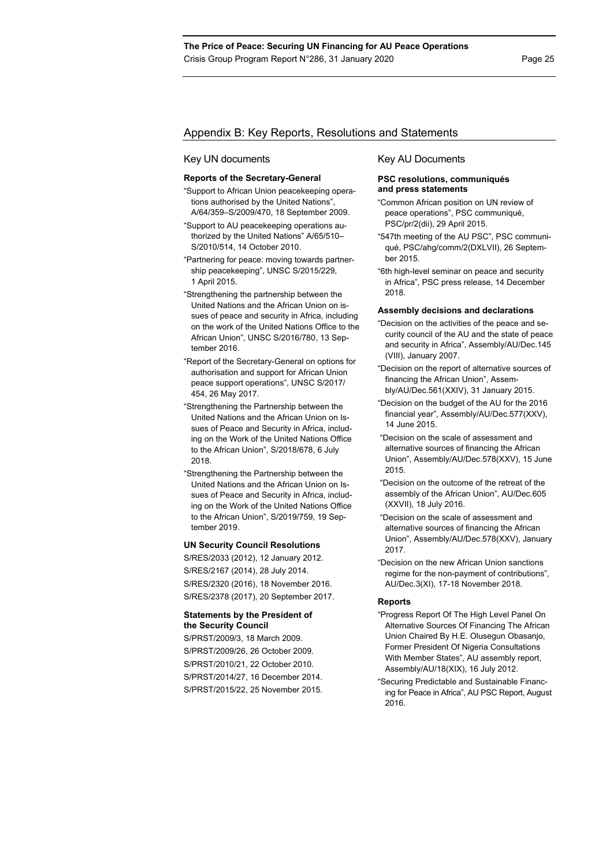# Appendix B: Key Reports, Resolutions and Statements

### Key UN documents

### **Reports of the Secretary-General**

- "Support to African Union peacekeeping operations authorised by the United Nations", A/64/359–S/2009/470, 18 September 2009.
- "Support to AU peacekeeping operations authorized by the United Nations" A/65/510– S/2010/514, 14 October 2010.
- "Partnering for peace: moving towards partnership peacekeeping", UNSC S/2015/229, 1 April 2015.
- "Strengthening the partnership between the United Nations and the African Union on issues of peace and security in Africa, including on the work of the United Nations Office to the African Union", UNSC S/2016/780, 13 September 2016.
- "Report of the Secretary-General on options for authorisation and support for African Union peace support operations", UNSC S/2017/ 454, 26 May 2017.
- "Strengthening the Partnership between the United Nations and the African Union on Issues of Peace and Security in Africa, including on the Work of the United Nations Office to the African Union", S/2018/678, 6 July 2018.
- "Strengthening the Partnership between the United Nations and the African Union on Issues of Peace and Security in Africa, including on the Work of the United Nations Office to the African Union", S/2019/759, 19 September 2019.

# **UN Security Council Resolutions**

S/RES/2033 (2012), 12 January 2012. S/RES/2167 (2014), 28 July 2014. S/RES/2320 (2016), 18 November 2016. S/RES/2378 (2017), 20 September 2017.

# **Statements by the President of the Security Council**

S/PRST/2009/3, 18 March 2009. S/PRST/2009/26, 26 October 2009. S/PRST/2010/21, 22 October 2010. S/PRST/2014/27, 16 December 2014. S/PRST/2015/22, 25 November 2015.

#### Key AU Documents

# **PSC resolutions, communiqués and press statements**

- "Common African position on UN review of peace operations", PSC communiqué, PSC/pr/2(dii), 29 April 2015.
- "547th meeting of the AU PSC", PSC communiqué, PSC/ahg/comm/2(DXLVII), 26 September 2015.
- "6th high-level seminar on peace and security in Africa", PSC press release, 14 December 2018.

#### **Assembly decisions and declarations**

- "Decision on the activities of the peace and security council of the AU and the state of peace and security in Africa", Assembly/AU/Dec.145 (VIII), January 2007.
- "Decision on the report of alternative sources of financing the African Union", Assembly/AU/Dec.561(XXIV), 31 January 2015.
- "Decision on the budget of the AU for the 2016 financial year", Assembly/AU/Dec.577(XXV), 14 June 2015.
- "Decision on the scale of assessment and alternative sources of financing the African Union", Assembly/AU/Dec.578(XXV), 15 June 2015.
- "Decision on the outcome of the retreat of the assembly of the African Union", AU/Dec.605 (XXVII), 18 July 2016.
- "Decision on the scale of assessment and alternative sources of financing the African Union", Assembly/AU/Dec.578(XXV), January 2017.
- "Decision on the new African Union sanctions regime for the non-payment of contributions", AU/Dec.3(XI), 17-18 November 2018.

### **Reports**

- "Progress Report Of The High Level Panel On Alternative Sources Of Financing The African Union Chaired By H.E. Olusegun Obasanjo, Former President Of Nigeria Consultations With Member States", AU assembly report, Assembly/AU/18(XIX), 16 July 2012.
- "Securing Predictable and Sustainable Financing for Peace in Africa", AU PSC Report, August 2016.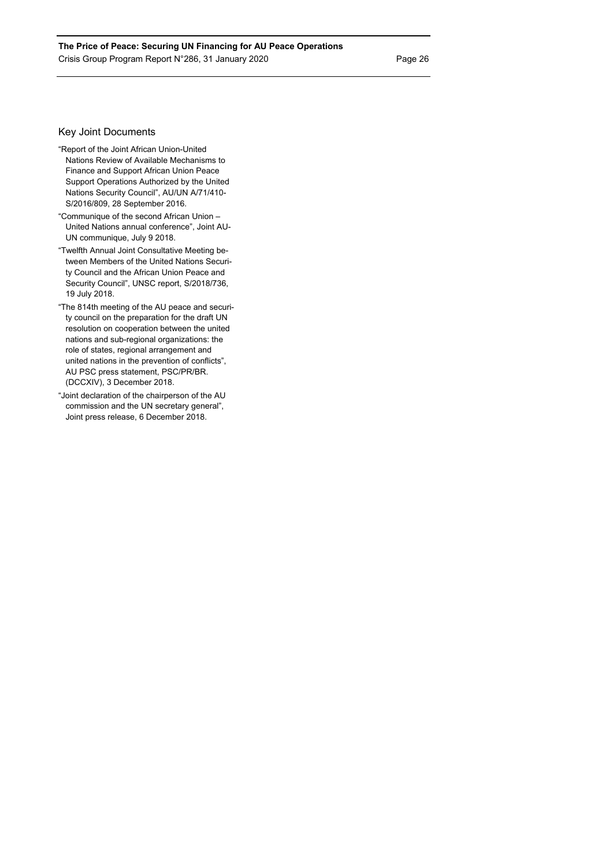# Key Joint Documents

- "Report of the Joint African Union-United Nations Review of Available Mechanisms to Finance and Support African Union Peace Support Operations Authorized by the United Nations Security Council", AU/UN A/71/410- S/2016/809, 28 September 2016.
- "Communique of the second African Union United Nations annual conference", Joint AU-UN communique, July 9 2018.
- "Twelfth Annual Joint Consultative Meeting between Members of the United Nations Security Council and the African Union Peace and Security Council", UNSC report, S/2018/736, 19 July 2018.
- "The 814th meeting of the AU peace and security council on the preparation for the draft UN resolution on cooperation between the united nations and sub-regional organizations: the role of states, regional arrangement and united nations in the prevention of conflicts", AU PSC press statement, PSC/PR/BR. (DCCXIV), 3 December 2018.
- "Joint declaration of the chairperson of the AU commission and the UN secretary general", Joint press release, 6 December 2018.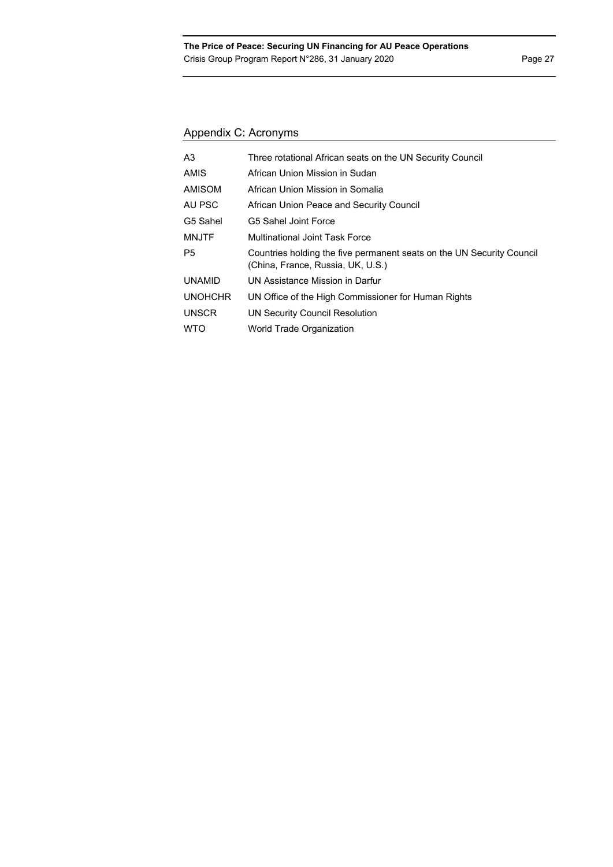# Appendix C: Acronyms

| A3             | Three rotational African seats on the UN Security Council                                                  |
|----------------|------------------------------------------------------------------------------------------------------------|
| <b>AMIS</b>    | African Union Mission in Sudan                                                                             |
| <b>AMISOM</b>  | African Union Mission in Somalia                                                                           |
| AU PSC         | African Union Peace and Security Council                                                                   |
| G5 Sahel       | G5 Sahel Joint Force                                                                                       |
| <b>MNJTF</b>   | Multinational Joint Task Force                                                                             |
| P5             | Countries holding the five permanent seats on the UN Security Council<br>(China, France, Russia, UK, U.S.) |
| <b>UNAMID</b>  | UN Assistance Mission in Darfur                                                                            |
| <b>UNOHCHR</b> | UN Office of the High Commissioner for Human Rights                                                        |
| <b>UNSCR</b>   | UN Security Council Resolution                                                                             |
| <b>WTO</b>     | World Trade Organization                                                                                   |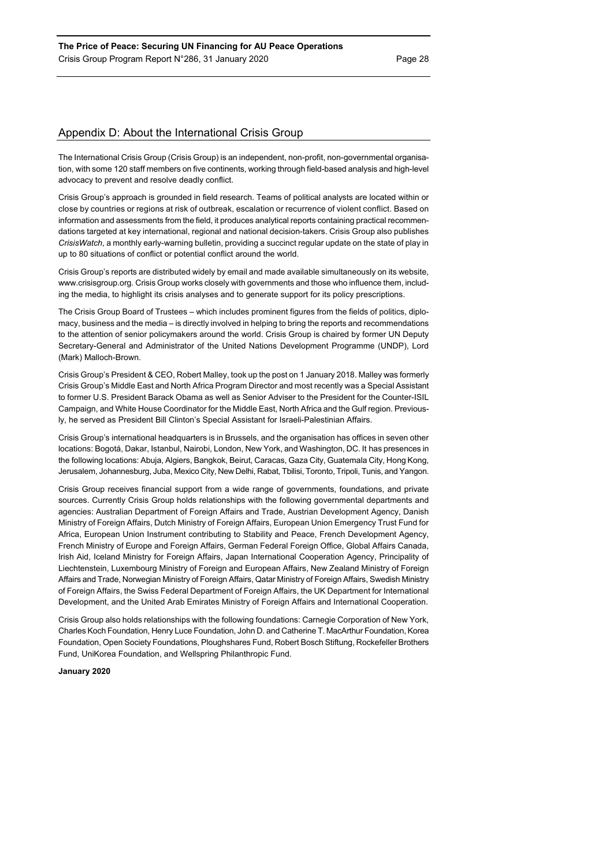# Appendix D: About the International Crisis Group

The International Crisis Group (Crisis Group) is an independent, non-profit, non-governmental organisation, with some 120 staff members on five continents, working through field-based analysis and high-level advocacy to prevent and resolve deadly conflict.

Crisis Group's approach is grounded in field research. Teams of political analysts are located within or close by countries or regions at risk of outbreak, escalation or recurrence of violent conflict. Based on information and assessments from the field, it produces analytical reports containing practical recommendations targeted at key international, regional and national decision-takers. Crisis Group also publishes *CrisisWatch*, a monthly early-warning bulletin, providing a succinct regular update on the state of play in up to 80 situations of conflict or potential conflict around the world.

Crisis Group's reports are distributed widely by email and made available simultaneously on its website, www.crisisgroup.org. Crisis Group works closely with governments and those who influence them, including the media, to highlight its crisis analyses and to generate support for its policy prescriptions.

The Crisis Group Board of Trustees – which includes prominent figures from the fields of politics, diplomacy, business and the media – is directly involved in helping to bring the reports and recommendations to the attention of senior policymakers around the world. Crisis Group is chaired by former UN Deputy Secretary-General and Administrator of the United Nations Development Programme (UNDP), Lord (Mark) Malloch-Brown.

Crisis Group's President & CEO, Robert Malley, took up the post on 1 January 2018. Malley was formerly Crisis Group's Middle East and North Africa Program Director and most recently was a Special Assistant to former U.S. President Barack Obama as well as Senior Adviser to the President for the Counter-ISIL Campaign, and White House Coordinator for the Middle East, North Africa and the Gulf region. Previously, he served as President Bill Clinton's Special Assistant for Israeli-Palestinian Affairs.

Crisis Group's international headquarters is in Brussels, and the organisation has offices in seven other locations: Bogotá, Dakar, Istanbul, Nairobi, London, New York, and Washington, DC. It has presences in the following locations: Abuja, Algiers, Bangkok, Beirut, Caracas, Gaza City, Guatemala City, Hong Kong, Jerusalem, Johannesburg, Juba, Mexico City, New Delhi, Rabat, Tbilisi, Toronto, Tripoli, Tunis, and Yangon.

Crisis Group receives financial support from a wide range of governments, foundations, and private sources. Currently Crisis Group holds relationships with the following governmental departments and agencies: Australian Department of Foreign Affairs and Trade, Austrian Development Agency, Danish Ministry of Foreign Affairs, Dutch Ministry of Foreign Affairs, European Union Emergency Trust Fund for Africa, European Union Instrument contributing to Stability and Peace, French Development Agency, French Ministry of Europe and Foreign Affairs, German Federal Foreign Office, Global Affairs Canada, Irish Aid, Iceland Ministry for Foreign Affairs, Japan International Cooperation Agency, Principality of Liechtenstein, Luxembourg Ministry of Foreign and European Affairs, New Zealand Ministry of Foreign Affairs and Trade, Norwegian Ministry of Foreign Affairs, Qatar Ministry of Foreign Affairs, Swedish Ministry of Foreign Affairs, the Swiss Federal Department of Foreign Affairs, the UK Department for International Development, and the United Arab Emirates Ministry of Foreign Affairs and International Cooperation.

Crisis Group also holds relationships with the following foundations: Carnegie Corporation of New York, Charles Koch Foundation, Henry Luce Foundation, John D. and Catherine T. MacArthur Foundation, Korea Foundation, Open Society Foundations, Ploughshares Fund, Robert Bosch Stiftung, Rockefeller Brothers Fund, UniKorea Foundation, and Wellspring Philanthropic Fund.

### **January 2020**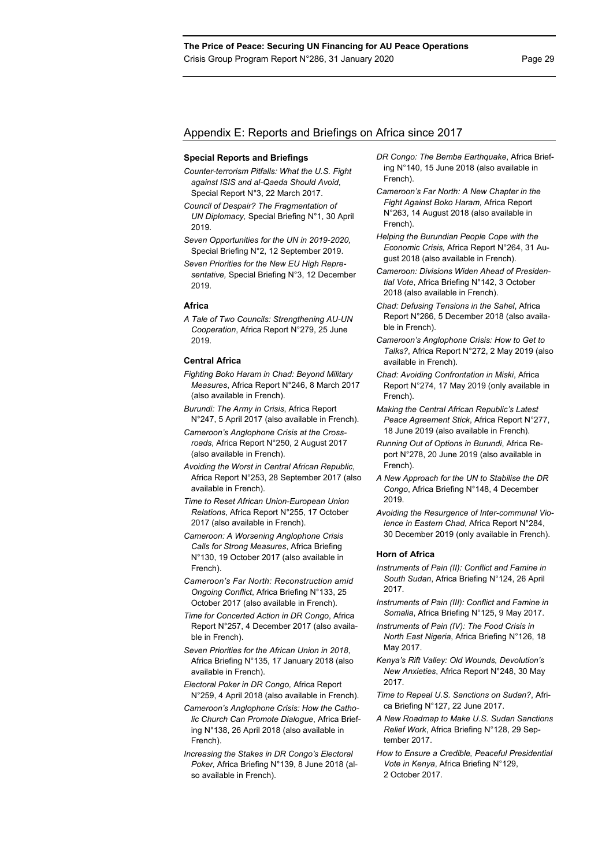# Appendix E: Reports and Briefings on Africa since 2017

#### **Special Reports and Briefings**

- *Counter-terrorism Pitfalls: What the U.S. Fight against ISIS and al-Qaeda Should Avoid*, Special Report N°3, 22 March 2017.
- *Council of Despair? The Fragmentation of UN Diplomacy,* Special Briefing N°1, 30 April 2019.
- *Seven Opportunities for the UN in 2019-2020,*  Special Briefing N°2, 12 September 2019.
- *Seven Priorities for the New EU High Representative,* Special Briefing N°3, 12 December 2019.

#### **Africa**

*A Tale of Two Councils: Strengthening AU-UN Cooperation*, Africa Report N°279, 25 June 2019.

#### **Central Africa**

- *Fighting Boko Haram in Chad: Beyond Military Measures*, Africa Report N°246, 8 March 2017 (also available in French).
- *Burundi: The Army in Crisis*, Africa Report N°247, 5 April 2017 (also available in French).
- *Cameroon's Anglophone Crisis at the Crossroads*, Africa Report N°250, 2 August 2017 (also available in French).
- *Avoiding the Worst in Central African Republic*, Africa Report N°253, 28 September 2017 (also available in French).
- *Time to Reset African Union-European Union Relations*, Africa Report N°255, 17 October 2017 (also available in French).
- *Cameroon: A Worsening Anglophone Crisis Calls for Strong Measures*, Africa Briefing N°130, 19 October 2017 (also available in French).
- *Cameroon's Far North: Reconstruction amid Ongoing Conflict*, Africa Briefing N°133, 25 October 2017 (also available in French).
- *Time for Concerted Action in DR Congo*, Africa Report N°257, 4 December 2017 (also available in French).
- *Seven Priorities for the African Union in 2018*, Africa Briefing N°135, 17 January 2018 (also available in French).
- *Electoral Poker in DR Congo,* Africa Report N°259, 4 April 2018 (also available in French).
- *Cameroon's Anglophone Crisis: How the Catholic Church Can Promote Dialogue*, Africa Briefing N°138, 26 April 2018 (also available in French).
- *Increasing the Stakes in DR Congo's Electoral Poker,* Africa Briefing N°139, 8 June 2018 (also available in French).
- *DR Congo: The Bemba Earthquake*, Africa Briefing N°140, 15 June 2018 (also available in French).
- *Cameroon's Far North: A New Chapter in the Fight Against Boko Haram,* Africa Report N°263, 14 August 2018 (also available in French).
- *Helping the Burundian People Cope with the Economic Crisis,* Africa Report N°264, 31 August 2018 (also available in French).
- *Cameroon: Divisions Widen Ahead of Presidential Vote*, Africa Briefing N°142, 3 October 2018 (also available in French).
- *Chad: Defusing Tensions in the Sahel*, Africa Report N°266, 5 December 2018 (also available in French).
- *Cameroon's Anglophone Crisis: How to Get to Talks?*, Africa Report N°272, 2 May 2019 (also available in French).
- *Chad: Avoiding Confrontation in Miski*, Africa Report N°274, 17 May 2019 (only available in French).
- *Making the Central African Republic's Latest Peace Agreement Stick*, Africa Report N°277, 18 June 2019 (also available in French).
- *Running Out of Options in Burundi*, Africa Report N°278, 20 June 2019 (also available in French).
- *A New Approach for the UN to Stabilise the DR Congo*, Africa Briefing N°148, 4 December 2019.
- *Avoiding the Resurgence of Inter-communal Violence in Eastern Chad*, Africa Report N°284, 30 December 2019 (only available in French).

#### **Horn of Africa**

- *Instruments of Pain (II): Conflict and Famine in South Sudan*, Africa Briefing N°124, 26 April 2017.
- *Instruments of Pain (III): Conflict and Famine in Somalia*, Africa Briefing N°125, 9 May 2017.
- *Instruments of Pain (IV): The Food Crisis in North East Nigeria*, Africa Briefing N°126, 18 May 2017.
- *Kenya's Rift Valley: Old Wounds, Devolution's New Anxieties*, Africa Report N°248, 30 May 2017.
- *Time to Repeal U.S. Sanctions on Sudan?*, Africa Briefing N°127, 22 June 2017.
- *A New Roadmap to Make U.S. Sudan Sanctions Relief Work*, Africa Briefing N°128, 29 September 2017.
- *How to Ensure a Credible, Peaceful Presidential Vote in Kenya*, Africa Briefing N°129, 2 October 2017.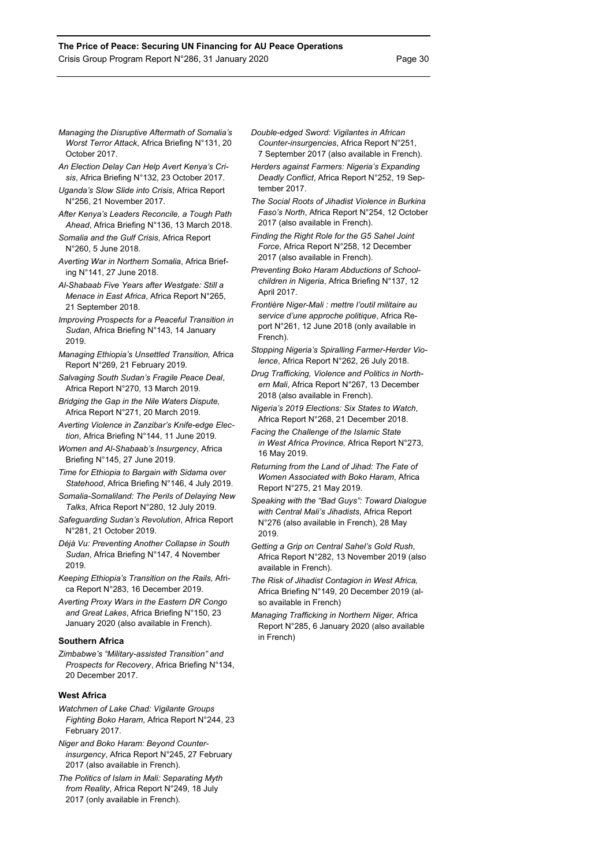- *Managing the Disruptive Aftermath of Somalia's Worst Terror Attack*, Africa Briefing N°131, 20 October 2017.
- *An Election Delay Can Help Avert Kenya's Crisis*, Africa Briefing N°132, 23 October 2017.
- *Uganda's Slow Slide into Crisis*, Africa Report N°256, 21 November 2017.
- *After Kenya's Leaders Reconcile, a Tough Path Ahead*, Africa Briefing N°136, 13 March 2018.
- *Somalia and the Gulf Crisis*, Africa Report N°260, 5 June 2018.
- *Averting War in Northern Somalia*, Africa Briefing N°141, 27 June 2018.
- *Al-Shabaab Five Years after Westgate: Still a Menace in East Africa*, Africa Report N°265, 21 September 2018.
- *Improving Prospects for a Peaceful Transition in Sudan*, Africa Briefing N°143, 14 January 2019.
- *Managing Ethiopia's Unsettled Transition,* Africa Report N°269, 21 February 2019.
- *Salvaging South Sudan's Fragile Peace Deal*, Africa Report N°270, 13 March 2019.
- *Bridging the Gap in the Nile Waters Dispute,*  Africa Report N°271, 20 March 2019.
- *Averting Violence in Zanzibar's Knife-edge Election*, Africa Briefing N°144, 11 June 2019.
- *Women and Al-Shabaab's Insurgency*, Africa Briefing N°145, 27 June 2019.
- *Time for Ethiopia to Bargain with Sidama over Statehood*, Africa Briefing N°146, 4 July 2019.
- *Somalia-Somaliland: The Perils of Delaying New Talks*, Africa Report N°280, 12 July 2019.
- *Safeguarding Sudan's Revolution*, Africa Report N°281, 21 October 2019.
- *Déjà Vu: Preventing Another Collapse in South Sudan*, Africa Briefing N°147, 4 November 2019.
- *Keeping Ethiopia's Transition on the Rails,* Africa Report N°283, 16 December 2019.
- *Averting Proxy Wars in the Eastern DR Congo and Great Lakes*, Africa Briefing N°150, 23 January 2020 (also available in French).

### **Southern Africa**

*Zimbabwe's "Military-assisted Transition" and Prospects for Recovery*, Africa Briefing N°134, 20 December 2017.

## **West Africa**

- *Watchmen of Lake Chad: Vigilante Groups Fighting Boko Haram*, Africa Report N°244, 23 February 2017.
- *Niger and Boko Haram: Beyond Counterinsurgency*, Africa Report N°245, 27 February 2017 (also available in French).
- *The Politics of Islam in Mali: Separating Myth from Reality*, Africa Report N°249, 18 July 2017 (only available in French).
- *Double-edged Sword: Vigilantes in African Counter-insurgencies*, Africa Report N°251, 7 September 2017 (also available in French).
- *Herders against Farmers: Nigeria's Expanding Deadly Conflict*, Africa Report N°252, 19 September 2017.
- *The Social Roots of Jihadist Violence in Burkina Faso's North*, Africa Report N°254, 12 October 2017 (also available in French).
- *Finding the Right Role for the G5 Sahel Joint Force*, Africa Report N°258, 12 December 2017 (also available in French).
- *Preventing Boko Haram Abductions of Schoolchildren in Nigeria*, Africa Briefing N°137, 12 April 2017.
- *Frontière Niger-Mali : mettre l'outil militaire au service d'une approche politique*, Africa Report N°261, 12 June 2018 (only available in French).
- *Stopping Nigeria's Spiralling Farmer-Herder Violence*, Africa Report N°262, 26 July 2018.
- *Drug Trafficking, Violence and Politics in Northern Mali*, Africa Report N°267, 13 December 2018 (also available in French).
- *Nigeria's 2019 Elections: Six States to Watch*, Africa Report N°268, 21 December 2018.
- *Facing the Challenge of the Islamic State in West Africa Province,* Africa Report N°273, 16 May 2019.
- *Returning from the Land of Jihad: The Fate of Women Associated with Boko Haram*, Africa Report N°275, 21 May 2019.
- *Speaking with the "Bad Guys": Toward Dialogue with Central Mali's Jihadists*, Africa Report N°276 (also available in French), 28 May 2019.
- *Getting a Grip on Central Sahel's Gold Rush*, Africa Report N°282, 13 November 2019 (also available in French).
- *The Risk of Jihadist Contagion in West Africa,*  Africa Briefing N°149, 20 December 2019 (also available in French)
- *Managing Trafficking in Northern Niger,* Africa Report N°285, 6 January 2020 (also available in French)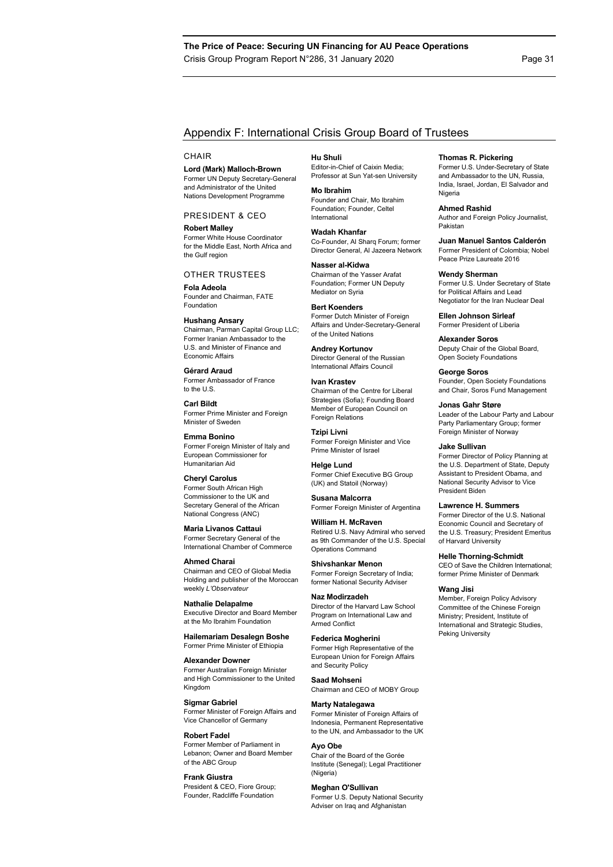# Appendix F: International Crisis Group Board of Trustees

#### **CHAIR**

**Lord (Mark) Malloch-Brown**  Former UN Deputy Secretary-General and Administrator of the United Nations Development Programme

PRESIDENT & CEO

**Robert Malley**  Former White House Coordinator for the Middle East, North Africa and the Gulf region

#### OTHER TRUSTEES

**Fola Adeola**  Founder and Chairman, FATE Foundation

**Hushang Ansary** 

Chairman, Parman Capital Group LLC; Former Iranian Ambassador to the U.S. and Minister of Finance and Economic Affairs

**Gérard Araud**  Former Ambassador of France to the U.S.

**Carl Bildt**  Former Prime Minister and Foreign Minister of Sweden

**Emma Bonino**  Former Foreign Minister of Italy and European Commissioner for Humanitarian Aid

**Cheryl Carolus**  Former South African High Commissioner to the UK and Secretary General of the African National Congress (ANC)

**Maria Livanos Cattaui**  Former Secretary General of the International Chamber of Commerce

**Ahmed Charai**  Chairman and CEO of Global Media Holding and publisher of the Moroccan weekly *L'Observateur*

**Nathalie Delapalme**  Executive Director and Board Member at the Mo Ibrahim Foundation

**Hailemariam Desalegn Boshe**  Former Prime Minister of Ethiopia

**Alexander Downer**  Former Australian Foreign Minister and High Commissioner to the United Kingdom

**Sigmar Gabriel**  Former Minister of Foreign Affairs and Vice Chancellor of Germany

**Robert Fadel**  Former Member of Parliament in Lebanon; Owner and Board Member of the ABC Group

**Frank Giustra**  President & CEO, Fiore Group; Founder, Radcliffe Foundation

**Hu Shuli**  Editor-in-Chief of Caixin Media; Professor at Sun Yat-sen University

**Mo Ibrahim**  Founder and Chair, Mo Ibrahim Foundation; Founder, Celtel International

**Wadah Khanfar**  Co-Founder, Al Sharq Forum; former Director General, Al Jazeera Network

**Nasser al-Kidwa**  Chairman of the Yasser Arafat Foundation; Former UN Deputy Mediator on Syria

**Bert Koenders**  Former Dutch Minister of Foreign Affairs and Under-Secretary-General of the United Nations

**Andrey Kortunov**  Director General of the Russian International Affairs Council

**Ivan Krastev**  Chairman of the Centre for Liberal Strategies (Sofia); Founding Board Member of European Council on Foreign Relations

**Tzipi Livni**  Former Foreign Minister and Vice Prime Minister of Israel

**Helge Lund**  Former Chief Executive BG Group (UK) and Statoil (Norway)

**Susana Malcorra**  Former Foreign Minister of Argentina

**William H. McRaven**  Retired U.S. Navy Admiral who served as 9th Commander of the U.S. Special

**Helle Thorning-Schmidt** 

CEO of Save the Children International; former Prime Minister of Denmark

#### **Wang Jisi**

Committee of the Chinese Foreign Ministry; President, Institute of International and Strategic Studies, Peking University

Former U.S. Deputy National Security Adviser on Iraq and Afghanistan

#### **Thomas R. Pickering**  Former U.S. Under-Secretary of State

and Ambassador to the UN, Russia, India, Israel, Jordan, El Salvador and Nigeria

#### **Ahmed Rashid**

Author and Foreign Policy Journalist, Pakistan

#### **Juan Manuel Santos Calderón**

Former President of Colombia; Nobel Peace Prize Laureate 2016

#### **Wendy Sherman**

Former U.S. Under Secretary of State for Political Affairs and Lead Negotiator for the Iran Nuclear Deal

**Ellen Johnson Sirleaf**  Former President of Liberia

**Alexander Soros**  Deputy Chair of the Global Board, Open Society Foundations

**George Soros**  Founder, Open Society Foundations and Chair, Soros Fund Management

#### **Jonas Gahr Støre**

Leader of the Labour Party and Labour Party Parliamentary Group; former Foreign Minister of Norway

#### **Jake Sullivan**

Former Director of Policy Planning at the U.S. Department of State, Deputy Assistant to President Obama, and National Security Advisor to Vice President Biden

#### **Lawrence H. Summers**

Former Director of the U.S. National Economic Council and Secretary of the U.S. Treasury; President Emeritus of Harvard University

Member, Foreign Policy Advisory

# Program on International Law and Armed Conflict **Federica Mogherini**

**Naz Modirzadeh** 

Operations Command **Shivshankar Menon**  Former Foreign Secretary of India; former National Security Adviser

Former High Representative of the European Union for Foreign Affairs and Security Policy

Director of the Harvard Law School

#### **Saad Mohseni**

Chairman and CEO of MOBY Group

### **Marty Natalegawa**

Former Minister of Foreign Affairs of Indonesia, Permanent Representative to the UN, and Ambassador to the UK

#### **Ayo Obe**

Chair of the Board of the Gorée Institute (Senegal); Legal Practitioner (Nigeria)

#### **Meghan O'Sullivan**